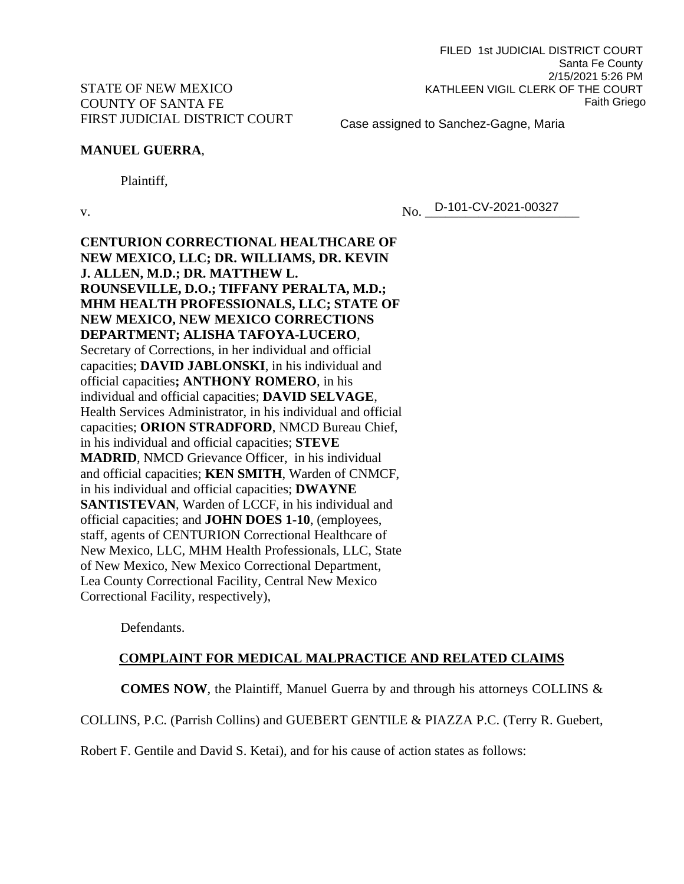#### Case assigned to Sanchez-Gagne, Maria

# **MANUEL GUERRA**,

Plaintiff,

v. 2021-00327

**CENTURION CORRECTIONAL HEALTHCARE OF NEW MEXICO, LLC; DR. WILLIAMS, DR. KEVIN J. ALLEN, M.D.; DR. MATTHEW L. ROUNSEVILLE, D.O.; TIFFANY PERALTA, M.D.; MHM HEALTH PROFESSIONALS, LLC; STATE OF NEW MEXICO, NEW MEXICO CORRECTIONS DEPARTMENT; ALISHA TAFOYA-LUCERO**, Secretary of Corrections, in her individual and official capacities; **DAVID JABLONSKI**, in his individual and official capacities**; ANTHONY ROMERO**, in his individual and official capacities; **DAVID SELVAGE**, Health Services Administrator, in his individual and official capacities; **ORION STRADFORD**, NMCD Bureau Chief, in his individual and official capacities; **STEVE MADRID**, NMCD Grievance Officer, in his individual and official capacities; **KEN SMITH**, Warden of CNMCF, in his individual and official capacities; **DWAYNE SANTISTEVAN**, Warden of LCCF, in his individual and official capacities; and **JOHN DOES 1-10**, (employees, staff, agents of CENTURION Correctional Healthcare of New Mexico, LLC, MHM Health Professionals, LLC, State of New Mexico, New Mexico Correctional Department, Lea County Correctional Facility, Central New Mexico Correctional Facility, respectively),

Defendants.

## **COMPLAINT FOR MEDICAL MALPRACTICE AND RELATED CLAIMS**

**COMES NOW**, the Plaintiff, Manuel Guerra by and through his attorneys COLLINS &

COLLINS, P.C. (Parrish Collins) and GUEBERT GENTILE & PIAZZA P.C. (Terry R. Guebert,

Robert F. Gentile and David S. Ketai), and for his cause of action states as follows: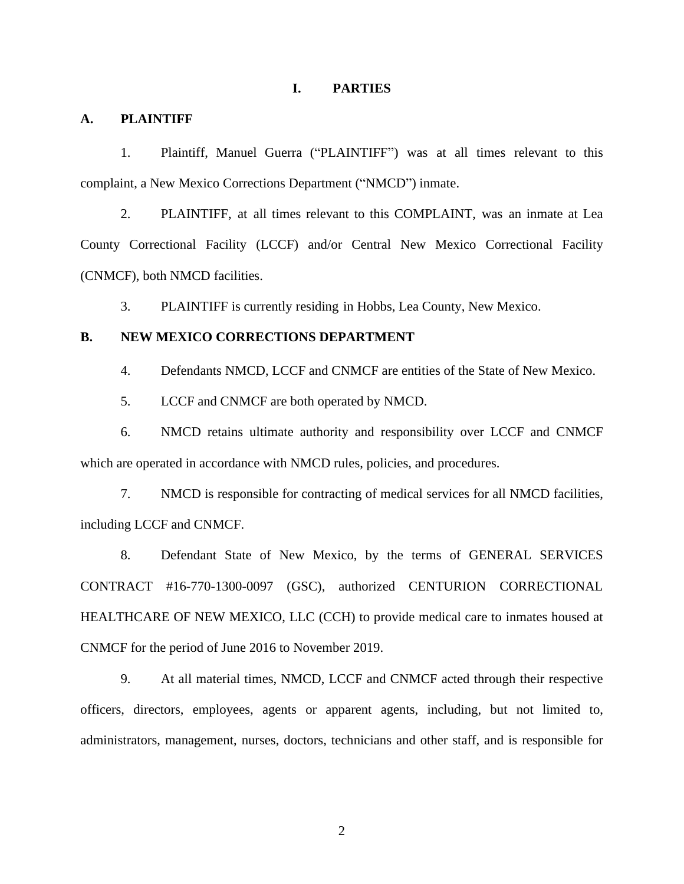#### **I. PARTIES**

### **A. PLAINTIFF**

1. Plaintiff, Manuel Guerra ("PLAINTIFF") was at all times relevant to this complaint, a New Mexico Corrections Department ("NMCD") inmate.

2. PLAINTIFF, at all times relevant to this COMPLAINT, was an inmate at Lea County Correctional Facility (LCCF) and/or Central New Mexico Correctional Facility (CNMCF), both NMCD facilities.

3. PLAINTIFF is currently residing in Hobbs, Lea County, New Mexico.

#### **B. NEW MEXICO CORRECTIONS DEPARTMENT**

4. Defendants NMCD, LCCF and CNMCF are entities of the State of New Mexico.

5. LCCF and CNMCF are both operated by NMCD.

6. NMCD retains ultimate authority and responsibility over LCCF and CNMCF which are operated in accordance with NMCD rules, policies, and procedures.

7. NMCD is responsible for contracting of medical services for all NMCD facilities, including LCCF and CNMCF.

8. Defendant State of New Mexico, by the terms of GENERAL SERVICES CONTRACT #16-770-1300-0097 (GSC), authorized CENTURION CORRECTIONAL HEALTHCARE OF NEW MEXICO, LLC (CCH) to provide medical care to inmates housed at CNMCF for the period of June 2016 to November 2019.

9. At all material times, NMCD, LCCF and CNMCF acted through their respective officers, directors, employees, agents or apparent agents, including, but not limited to, administrators, management, nurses, doctors, technicians and other staff, and is responsible for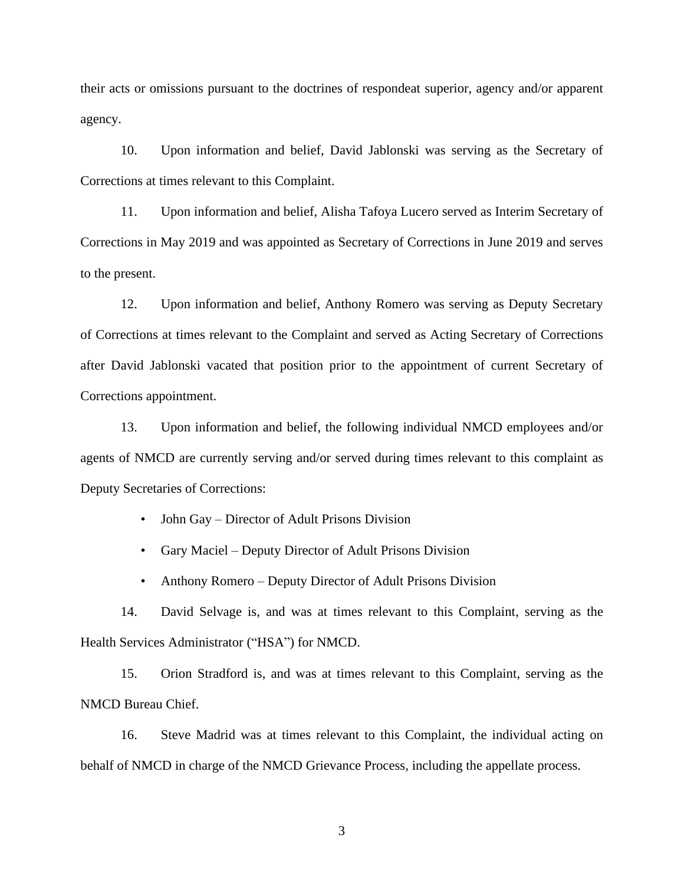their acts or omissions pursuant to the doctrines of respondeat superior, agency and/or apparent agency.

10. Upon information and belief, David Jablonski was serving as the Secretary of Corrections at times relevant to this Complaint.

11. Upon information and belief, Alisha Tafoya Lucero served as Interim Secretary of Corrections in May 2019 and was appointed as Secretary of Corrections in June 2019 and serves to the present.

12. Upon information and belief, Anthony Romero was serving as Deputy Secretary of Corrections at times relevant to the Complaint and served as Acting Secretary of Corrections after David Jablonski vacated that position prior to the appointment of current Secretary of Corrections appointment.

13. Upon information and belief, the following individual NMCD employees and/or agents of NMCD are currently serving and/or served during times relevant to this complaint as Deputy Secretaries of Corrections:

- John Gay Director of Adult Prisons Division
- Gary Maciel Deputy Director of Adult Prisons Division
- Anthony Romero Deputy Director of Adult Prisons Division

14. David Selvage is, and was at times relevant to this Complaint, serving as the Health Services Administrator ("HSA") for NMCD.

15. Orion Stradford is, and was at times relevant to this Complaint, serving as the NMCD Bureau Chief.

16. Steve Madrid was at times relevant to this Complaint, the individual acting on behalf of NMCD in charge of the NMCD Grievance Process, including the appellate process.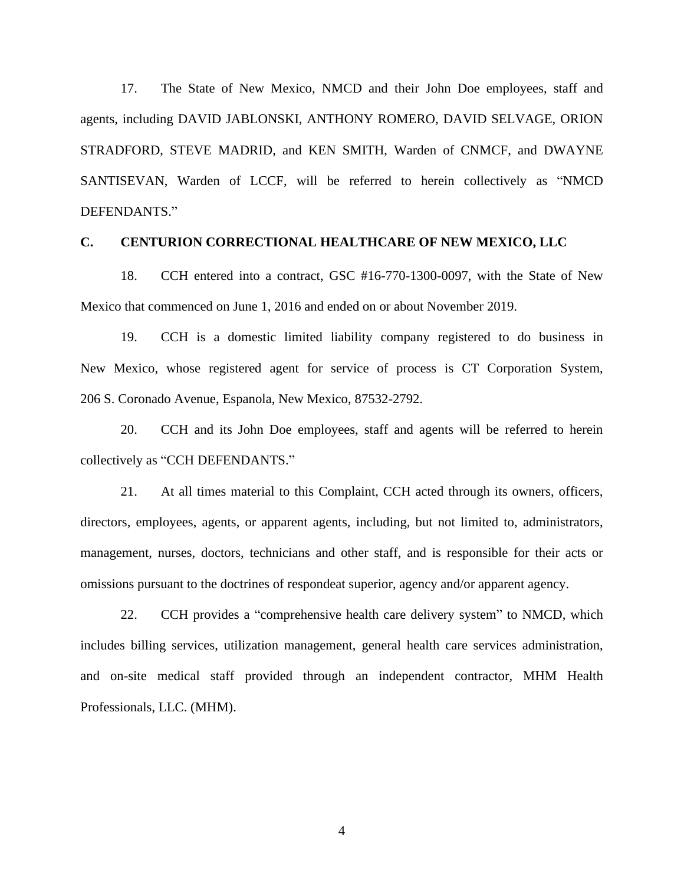17. The State of New Mexico, NMCD and their John Doe employees, staff and agents, including DAVID JABLONSKI, ANTHONY ROMERO, DAVID SELVAGE, ORION STRADFORD, STEVE MADRID, and KEN SMITH, Warden of CNMCF, and DWAYNE SANTISEVAN, Warden of LCCF, will be referred to herein collectively as "NMCD DEFENDANTS."

### **C. CENTURION CORRECTIONAL HEALTHCARE OF NEW MEXICO, LLC**

18. CCH entered into a contract, GSC #16-770-1300-0097, with the State of New Mexico that commenced on June 1, 2016 and ended on or about November 2019.

19. CCH is a domestic limited liability company registered to do business in New Mexico, whose registered agent for service of process is CT Corporation System, 206 S. Coronado Avenue, Espanola, New Mexico, 87532-2792.

20. CCH and its John Doe employees, staff and agents will be referred to herein collectively as "CCH DEFENDANTS."

21. At all times material to this Complaint, CCH acted through its owners, officers, directors, employees, agents, or apparent agents, including, but not limited to, administrators, management, nurses, doctors, technicians and other staff, and is responsible for their acts or omissions pursuant to the doctrines of respondeat superior, agency and/or apparent agency.

22. CCH provides a "comprehensive health care delivery system" to NMCD, which includes billing services, utilization management, general health care services administration, and on-site medical staff provided through an independent contractor, MHM Health Professionals, LLC. (MHM).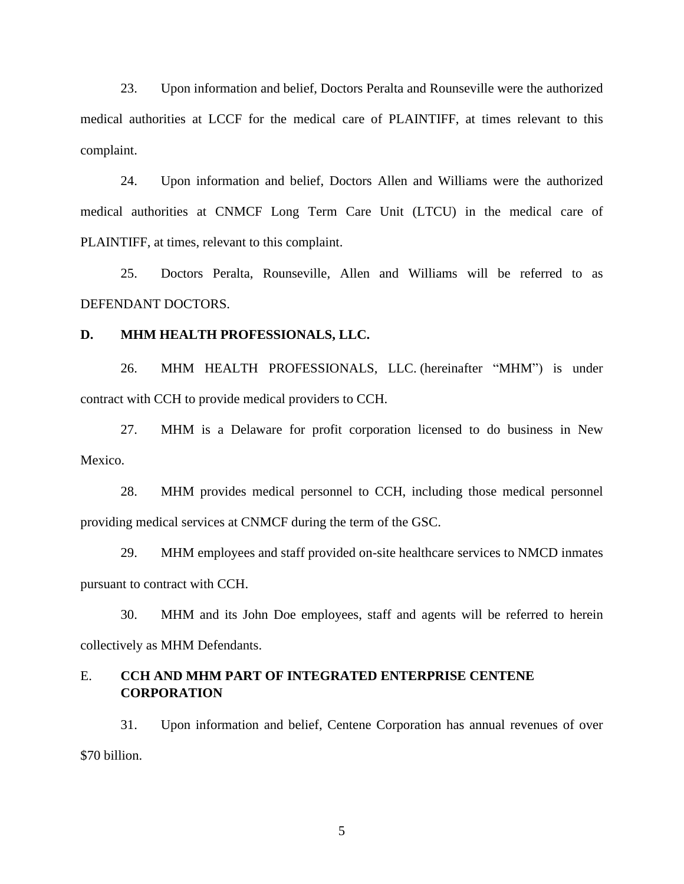23. Upon information and belief, Doctors Peralta and Rounseville were the authorized medical authorities at LCCF for the medical care of PLAINTIFF, at times relevant to this complaint.

24. Upon information and belief, Doctors Allen and Williams were the authorized medical authorities at CNMCF Long Term Care Unit (LTCU) in the medical care of PLAINTIFF, at times, relevant to this complaint.

25. Doctors Peralta, Rounseville, Allen and Williams will be referred to as DEFENDANT DOCTORS.

#### **D. MHM HEALTH PROFESSIONALS, LLC.**

26. MHM HEALTH PROFESSIONALS, LLC. (hereinafter "MHM") is under contract with CCH to provide medical providers to CCH.

27. MHM is a Delaware for profit corporation licensed to do business in New Mexico.

28. MHM provides medical personnel to CCH, including those medical personnel providing medical services at CNMCF during the term of the GSC.

29. MHM employees and staff provided on-site healthcare services to NMCD inmates pursuant to contract with CCH.

30. MHM and its John Doe employees, staff and agents will be referred to herein collectively as MHM Defendants.

# E. **CCH AND MHM PART OF INTEGRATED ENTERPRISE CENTENE CORPORATION**

31. Upon information and belief, Centene Corporation has annual revenues of over \$70 billion.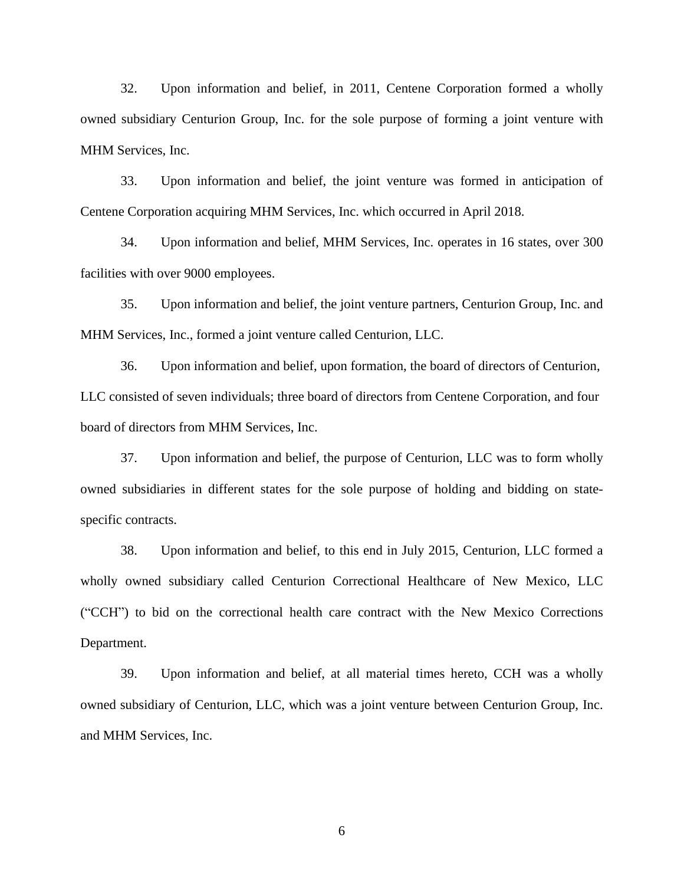32. Upon information and belief, in 2011, Centene Corporation formed a wholly owned subsidiary Centurion Group, Inc. for the sole purpose of forming a joint venture with MHM Services, Inc.

33. Upon information and belief, the joint venture was formed in anticipation of Centene Corporation acquiring MHM Services, Inc. which occurred in April 2018.

34. Upon information and belief, MHM Services, Inc. operates in 16 states, over 300 facilities with over 9000 employees.

35. Upon information and belief, the joint venture partners, Centurion Group, Inc. and MHM Services, Inc., formed a joint venture called Centurion, LLC.

36. Upon information and belief, upon formation, the board of directors of Centurion, LLC consisted of seven individuals; three board of directors from Centene Corporation, and four board of directors from MHM Services, Inc.

37. Upon information and belief, the purpose of Centurion, LLC was to form wholly owned subsidiaries in different states for the sole purpose of holding and bidding on statespecific contracts.

38. Upon information and belief, to this end in July 2015, Centurion, LLC formed a wholly owned subsidiary called Centurion Correctional Healthcare of New Mexico, LLC ("CCH") to bid on the correctional health care contract with the New Mexico Corrections Department.

39. Upon information and belief, at all material times hereto, CCH was a wholly owned subsidiary of Centurion, LLC, which was a joint venture between Centurion Group, Inc. and MHM Services, Inc.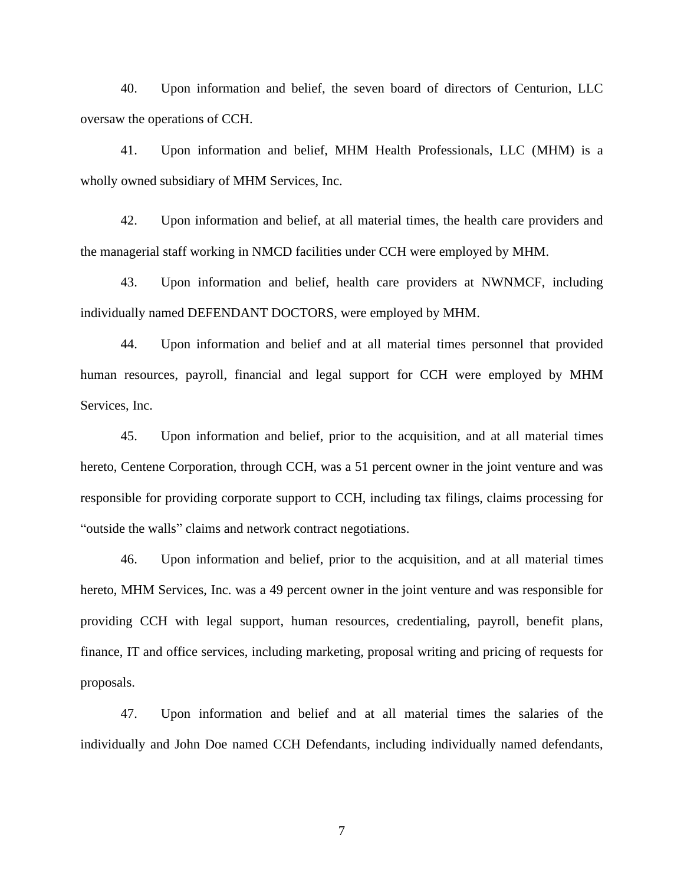40. Upon information and belief, the seven board of directors of Centurion, LLC oversaw the operations of CCH.

41. Upon information and belief, MHM Health Professionals, LLC (MHM) is a wholly owned subsidiary of MHM Services, Inc.

42. Upon information and belief, at all material times, the health care providers and the managerial staff working in NMCD facilities under CCH were employed by MHM.

43. Upon information and belief, health care providers at NWNMCF, including individually named DEFENDANT DOCTORS, were employed by MHM.

44. Upon information and belief and at all material times personnel that provided human resources, payroll, financial and legal support for CCH were employed by MHM Services, Inc.

45. Upon information and belief, prior to the acquisition, and at all material times hereto, Centene Corporation, through CCH, was a 51 percent owner in the joint venture and was responsible for providing corporate support to CCH, including tax filings, claims processing for "outside the walls" claims and network contract negotiations.

46. Upon information and belief, prior to the acquisition, and at all material times hereto, MHM Services, Inc. was a 49 percent owner in the joint venture and was responsible for providing CCH with legal support, human resources, credentialing, payroll, benefit plans, finance, IT and office services, including marketing, proposal writing and pricing of requests for proposals.

47. Upon information and belief and at all material times the salaries of the individually and John Doe named CCH Defendants, including individually named defendants,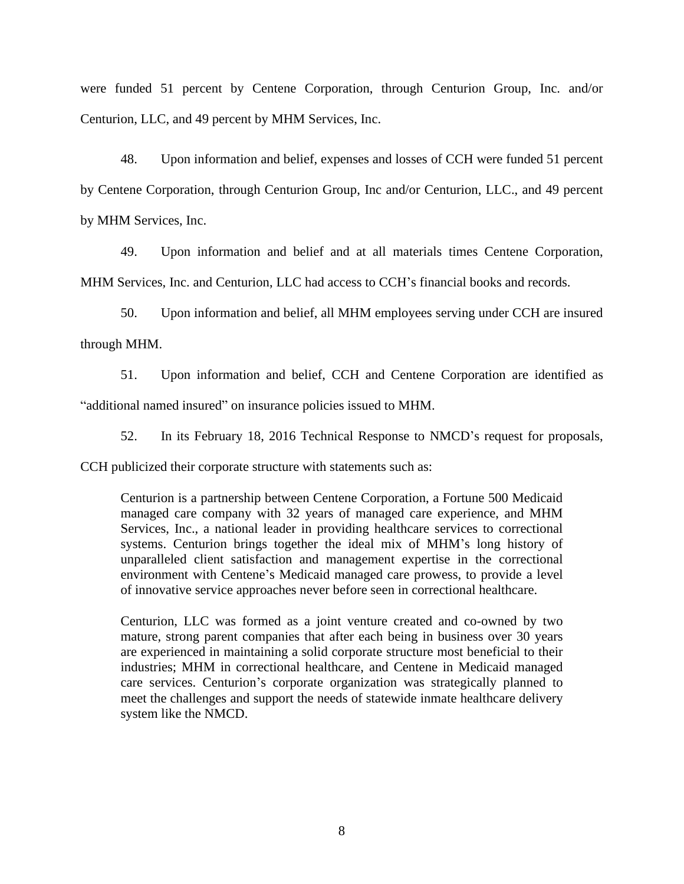were funded 51 percent by Centene Corporation, through Centurion Group, Inc. and/or Centurion, LLC, and 49 percent by MHM Services, Inc.

48. Upon information and belief, expenses and losses of CCH were funded 51 percent by Centene Corporation, through Centurion Group, Inc and/or Centurion, LLC., and 49 percent by MHM Services, Inc.

49. Upon information and belief and at all materials times Centene Corporation, MHM Services, Inc. and Centurion, LLC had access to CCH's financial books and records.

50. Upon information and belief, all MHM employees serving under CCH are insured through MHM.

51. Upon information and belief, CCH and Centene Corporation are identified as "additional named insured" on insurance policies issued to MHM.

52. In its February 18, 2016 Technical Response to NMCD's request for proposals,

CCH publicized their corporate structure with statements such as:

Centurion is a partnership between Centene Corporation, a Fortune 500 Medicaid managed care company with 32 years of managed care experience, and MHM Services, Inc., a national leader in providing healthcare services to correctional systems. Centurion brings together the ideal mix of MHM's long history of unparalleled client satisfaction and management expertise in the correctional environment with Centene's Medicaid managed care prowess, to provide a level of innovative service approaches never before seen in correctional healthcare.

Centurion, LLC was formed as a joint venture created and co-owned by two mature, strong parent companies that after each being in business over 30 years are experienced in maintaining a solid corporate structure most beneficial to their industries; MHM in correctional healthcare, and Centene in Medicaid managed care services. Centurion's corporate organization was strategically planned to meet the challenges and support the needs of statewide inmate healthcare delivery system like the NMCD.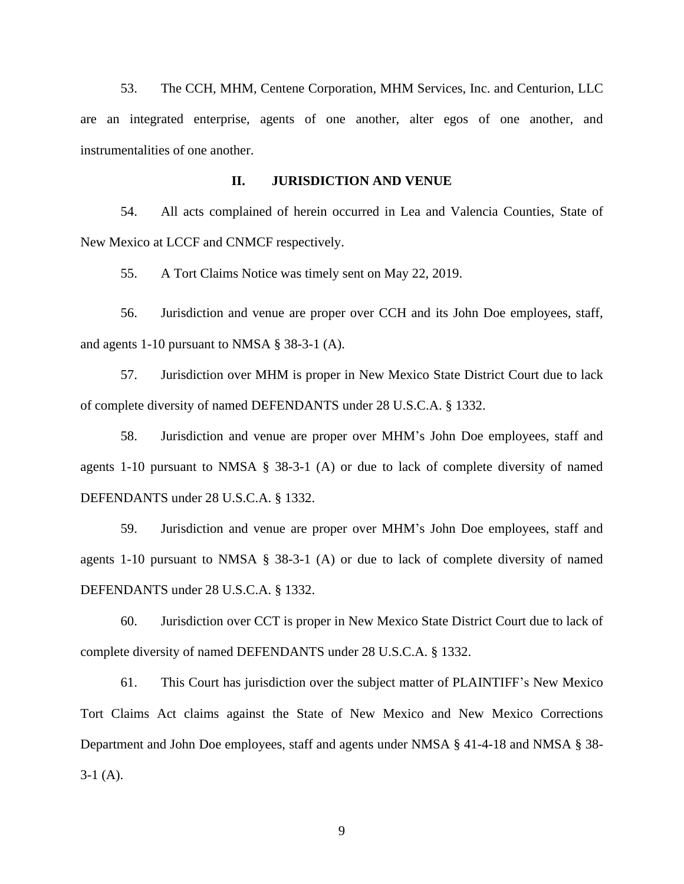53. The CCH, MHM, Centene Corporation, MHM Services, Inc. and Centurion, LLC are an integrated enterprise, agents of one another, alter egos of one another, and instrumentalities of one another.

#### **II. JURISDICTION AND VENUE**

54. All acts complained of herein occurred in Lea and Valencia Counties, State of New Mexico at LCCF and CNMCF respectively.

55. A Tort Claims Notice was timely sent on May 22, 2019.

56. Jurisdiction and venue are proper over CCH and its John Doe employees, staff, and agents 1-10 pursuant to NMSA § 38-3-1 (A).

57. Jurisdiction over MHM is proper in New Mexico State District Court due to lack of complete diversity of named DEFENDANTS under 28 U.S.C.A. § 1332.

58. Jurisdiction and venue are proper over MHM's John Doe employees, staff and agents 1-10 pursuant to NMSA § 38-3-1 (A) or due to lack of complete diversity of named DEFENDANTS under 28 U.S.C.A. § 1332.

59. Jurisdiction and venue are proper over MHM's John Doe employees, staff and agents 1-10 pursuant to NMSA § 38-3-1 (A) or due to lack of complete diversity of named DEFENDANTS under 28 U.S.C.A. § 1332.

60. Jurisdiction over CCT is proper in New Mexico State District Court due to lack of complete diversity of named DEFENDANTS under 28 U.S.C.A. § 1332.

61. This Court has jurisdiction over the subject matter of PLAINTIFF's New Mexico Tort Claims Act claims against the State of New Mexico and New Mexico Corrections Department and John Doe employees, staff and agents under NMSA § 41-4-18 and NMSA § 38-  $3-1(A)$ .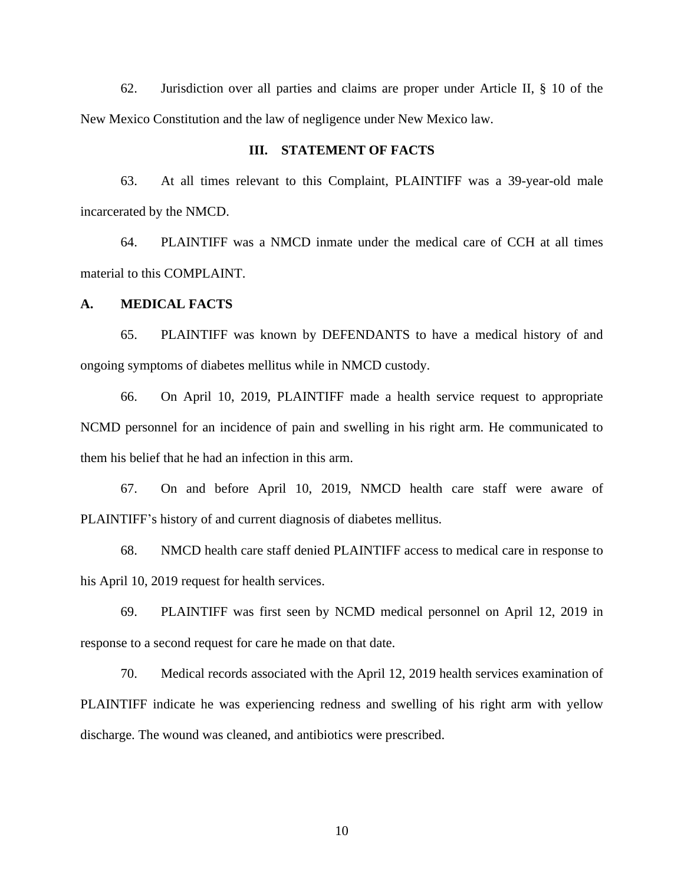62. Jurisdiction over all parties and claims are proper under Article II, § 10 of the New Mexico Constitution and the law of negligence under New Mexico law.

#### **III. STATEMENT OF FACTS**

63. At all times relevant to this Complaint, PLAINTIFF was a 39-year-old male incarcerated by the NMCD.

64. PLAINTIFF was a NMCD inmate under the medical care of CCH at all times material to this COMPLAINT.

#### **A. MEDICAL FACTS**

65. PLAINTIFF was known by DEFENDANTS to have a medical history of and ongoing symptoms of diabetes mellitus while in NMCD custody.

66. On April 10, 2019, PLAINTIFF made a health service request to appropriate NCMD personnel for an incidence of pain and swelling in his right arm. He communicated to them his belief that he had an infection in this arm.

67. On and before April 10, 2019, NMCD health care staff were aware of PLAINTIFF's history of and current diagnosis of diabetes mellitus.

68. NMCD health care staff denied PLAINTIFF access to medical care in response to his April 10, 2019 request for health services.

69. PLAINTIFF was first seen by NCMD medical personnel on April 12, 2019 in response to a second request for care he made on that date.

70. Medical records associated with the April 12, 2019 health services examination of PLAINTIFF indicate he was experiencing redness and swelling of his right arm with yellow discharge. The wound was cleaned, and antibiotics were prescribed.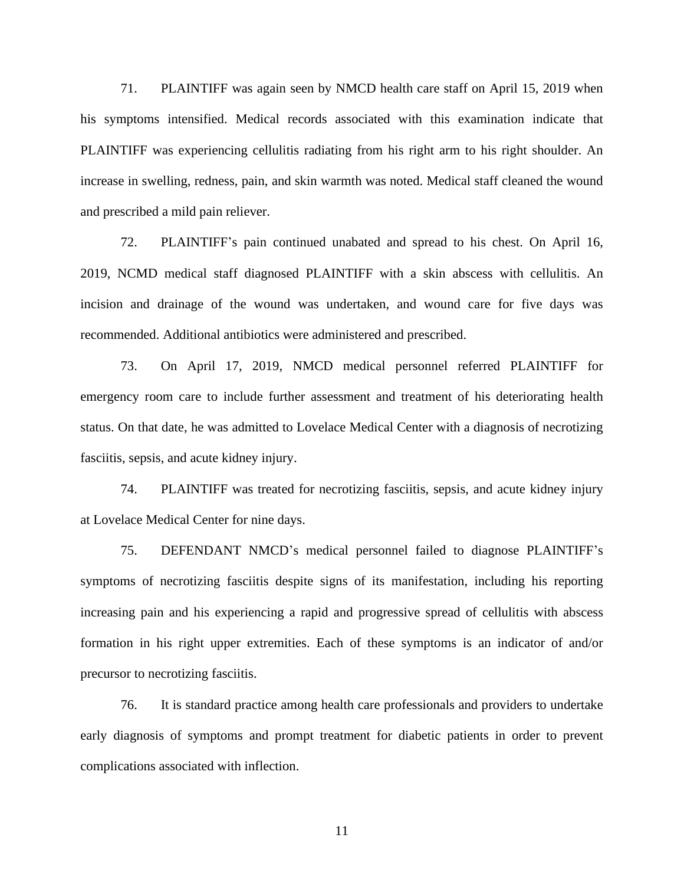71. PLAINTIFF was again seen by NMCD health care staff on April 15, 2019 when his symptoms intensified. Medical records associated with this examination indicate that PLAINTIFF was experiencing cellulitis radiating from his right arm to his right shoulder. An increase in swelling, redness, pain, and skin warmth was noted. Medical staff cleaned the wound and prescribed a mild pain reliever.

72. PLAINTIFF's pain continued unabated and spread to his chest. On April 16, 2019, NCMD medical staff diagnosed PLAINTIFF with a skin abscess with cellulitis. An incision and drainage of the wound was undertaken, and wound care for five days was recommended. Additional antibiotics were administered and prescribed.

73. On April 17, 2019, NMCD medical personnel referred PLAINTIFF for emergency room care to include further assessment and treatment of his deteriorating health status. On that date, he was admitted to Lovelace Medical Center with a diagnosis of necrotizing fasciitis, sepsis, and acute kidney injury.

74. PLAINTIFF was treated for necrotizing fasciitis, sepsis, and acute kidney injury at Lovelace Medical Center for nine days.

75. DEFENDANT NMCD's medical personnel failed to diagnose PLAINTIFF's symptoms of necrotizing fasciitis despite signs of its manifestation, including his reporting increasing pain and his experiencing a rapid and progressive spread of cellulitis with abscess formation in his right upper extremities. Each of these symptoms is an indicator of and/or precursor to necrotizing fasciitis.

76. It is standard practice among health care professionals and providers to undertake early diagnosis of symptoms and prompt treatment for diabetic patients in order to prevent complications associated with inflection.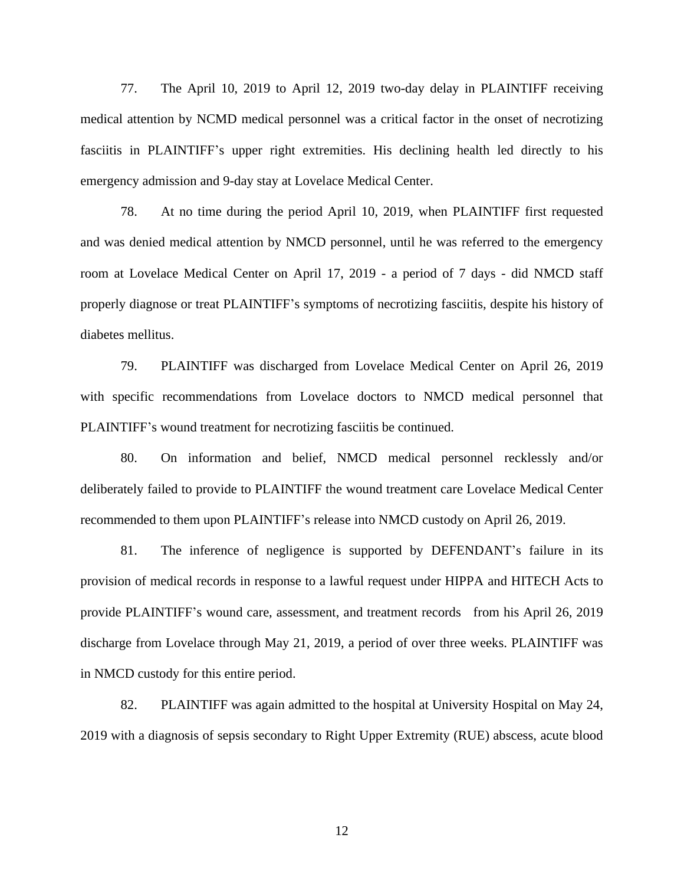77. The April 10, 2019 to April 12, 2019 two-day delay in PLAINTIFF receiving medical attention by NCMD medical personnel was a critical factor in the onset of necrotizing fasciitis in PLAINTIFF's upper right extremities. His declining health led directly to his emergency admission and 9-day stay at Lovelace Medical Center.

78. At no time during the period April 10, 2019, when PLAINTIFF first requested and was denied medical attention by NMCD personnel, until he was referred to the emergency room at Lovelace Medical Center on April 17, 2019 - a period of 7 days - did NMCD staff properly diagnose or treat PLAINTIFF's symptoms of necrotizing fasciitis, despite his history of diabetes mellitus.

79. PLAINTIFF was discharged from Lovelace Medical Center on April 26, 2019 with specific recommendations from Lovelace doctors to NMCD medical personnel that PLAINTIFF's wound treatment for necrotizing fasciitis be continued.

80. On information and belief, NMCD medical personnel recklessly and/or deliberately failed to provide to PLAINTIFF the wound treatment care Lovelace Medical Center recommended to them upon PLAINTIFF's release into NMCD custody on April 26, 2019.

81. The inference of negligence is supported by DEFENDANT's failure in its provision of medical records in response to a lawful request under HIPPA and HITECH Acts to provide PLAINTIFF's wound care, assessment, and treatment records from his April 26, 2019 discharge from Lovelace through May 21, 2019, a period of over three weeks. PLAINTIFF was in NMCD custody for this entire period.

82. PLAINTIFF was again admitted to the hospital at University Hospital on May 24, 2019 with a diagnosis of sepsis secondary to Right Upper Extremity (RUE) abscess, acute blood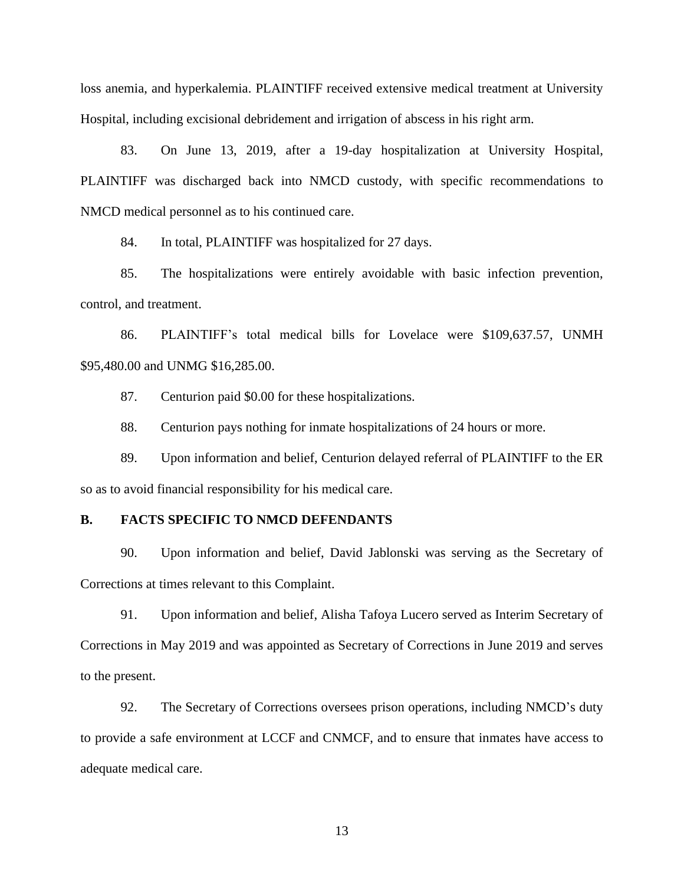loss anemia, and hyperkalemia. PLAINTIFF received extensive medical treatment at University Hospital, including excisional debridement and irrigation of abscess in his right arm.

83. On June 13, 2019, after a 19-day hospitalization at University Hospital, PLAINTIFF was discharged back into NMCD custody, with specific recommendations to NMCD medical personnel as to his continued care.

84. In total, PLAINTIFF was hospitalized for 27 days.

85. The hospitalizations were entirely avoidable with basic infection prevention, control, and treatment.

86. PLAINTIFF's total medical bills for Lovelace were \$109,637.57, UNMH \$95,480.00 and UNMG \$16,285.00.

87. Centurion paid \$0.00 for these hospitalizations.

88. Centurion pays nothing for inmate hospitalizations of 24 hours or more.

89. Upon information and belief, Centurion delayed referral of PLAINTIFF to the ER so as to avoid financial responsibility for his medical care.

#### **B. FACTS SPECIFIC TO NMCD DEFENDANTS**

90. Upon information and belief, David Jablonski was serving as the Secretary of Corrections at times relevant to this Complaint.

91. Upon information and belief, Alisha Tafoya Lucero served as Interim Secretary of Corrections in May 2019 and was appointed as Secretary of Corrections in June 2019 and serves to the present.

92. The Secretary of Corrections oversees prison operations, including NMCD's duty to provide a safe environment at LCCF and CNMCF, and to ensure that inmates have access to adequate medical care.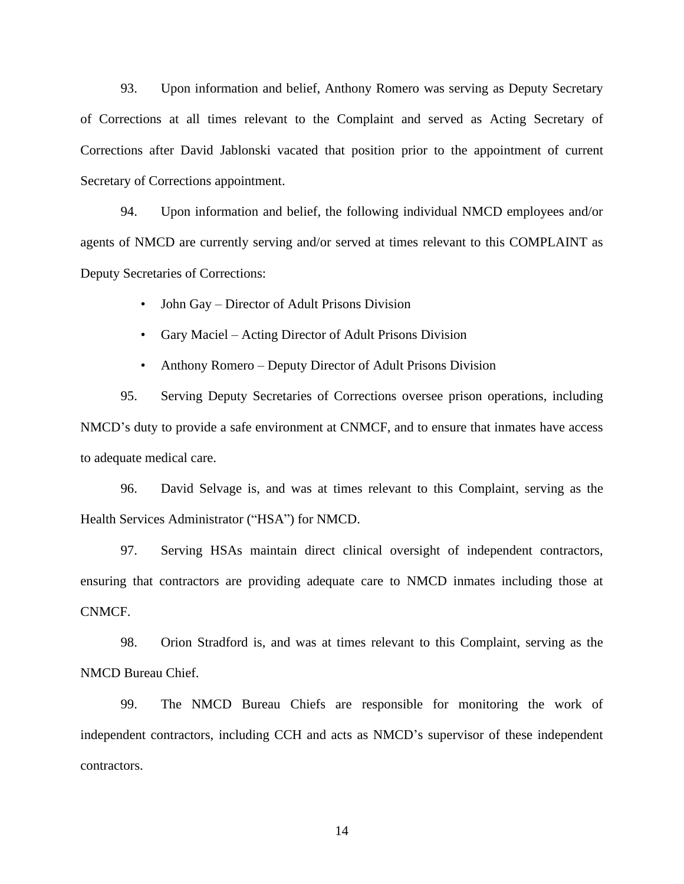93. Upon information and belief, Anthony Romero was serving as Deputy Secretary of Corrections at all times relevant to the Complaint and served as Acting Secretary of Corrections after David Jablonski vacated that position prior to the appointment of current Secretary of Corrections appointment.

94. Upon information and belief, the following individual NMCD employees and/or agents of NMCD are currently serving and/or served at times relevant to this COMPLAINT as Deputy Secretaries of Corrections:

• John Gay – Director of Adult Prisons Division

• Gary Maciel – Acting Director of Adult Prisons Division

• Anthony Romero – Deputy Director of Adult Prisons Division

95. Serving Deputy Secretaries of Corrections oversee prison operations, including NMCD's duty to provide a safe environment at CNMCF, and to ensure that inmates have access to adequate medical care.

96. David Selvage is, and was at times relevant to this Complaint, serving as the Health Services Administrator ("HSA") for NMCD.

97. Serving HSAs maintain direct clinical oversight of independent contractors, ensuring that contractors are providing adequate care to NMCD inmates including those at CNMCF.

98. Orion Stradford is, and was at times relevant to this Complaint, serving as the NMCD Bureau Chief.

99. The NMCD Bureau Chiefs are responsible for monitoring the work of independent contractors, including CCH and acts as NMCD's supervisor of these independent contractors.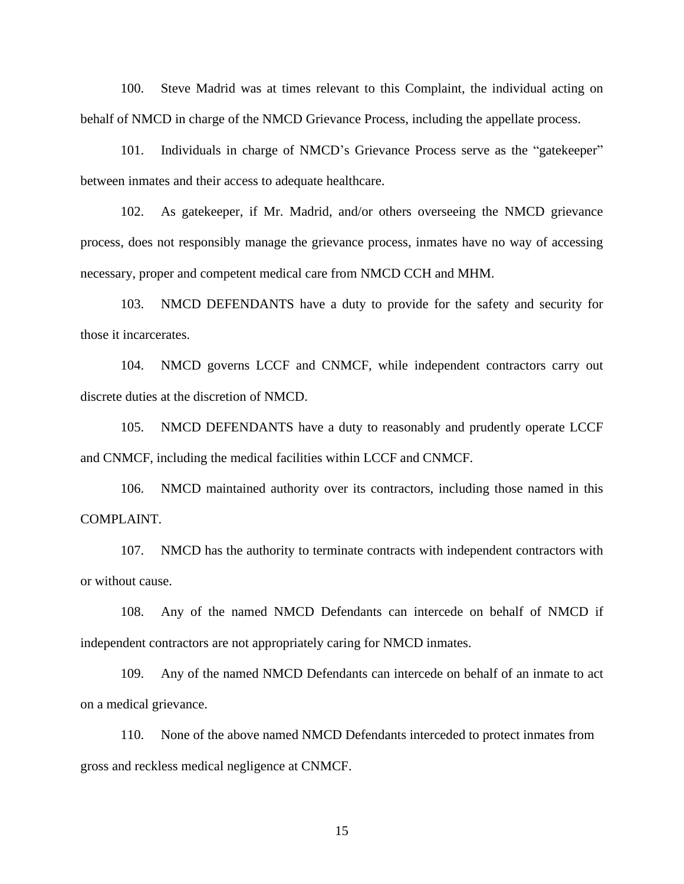100. Steve Madrid was at times relevant to this Complaint, the individual acting on behalf of NMCD in charge of the NMCD Grievance Process, including the appellate process.

101. Individuals in charge of NMCD's Grievance Process serve as the "gatekeeper" between inmates and their access to adequate healthcare.

102. As gatekeeper, if Mr. Madrid, and/or others overseeing the NMCD grievance process, does not responsibly manage the grievance process, inmates have no way of accessing necessary, proper and competent medical care from NMCD CCH and MHM.

103. NMCD DEFENDANTS have a duty to provide for the safety and security for those it incarcerates.

104. NMCD governs LCCF and CNMCF, while independent contractors carry out discrete duties at the discretion of NMCD.

105. NMCD DEFENDANTS have a duty to reasonably and prudently operate LCCF and CNMCF, including the medical facilities within LCCF and CNMCF.

106. NMCD maintained authority over its contractors, including those named in this COMPLAINT.

107. NMCD has the authority to terminate contracts with independent contractors with or without cause.

108. Any of the named NMCD Defendants can intercede on behalf of NMCD if independent contractors are not appropriately caring for NMCD inmates.

109. Any of the named NMCD Defendants can intercede on behalf of an inmate to act on a medical grievance.

110. None of the above named NMCD Defendants interceded to protect inmates from gross and reckless medical negligence at CNMCF.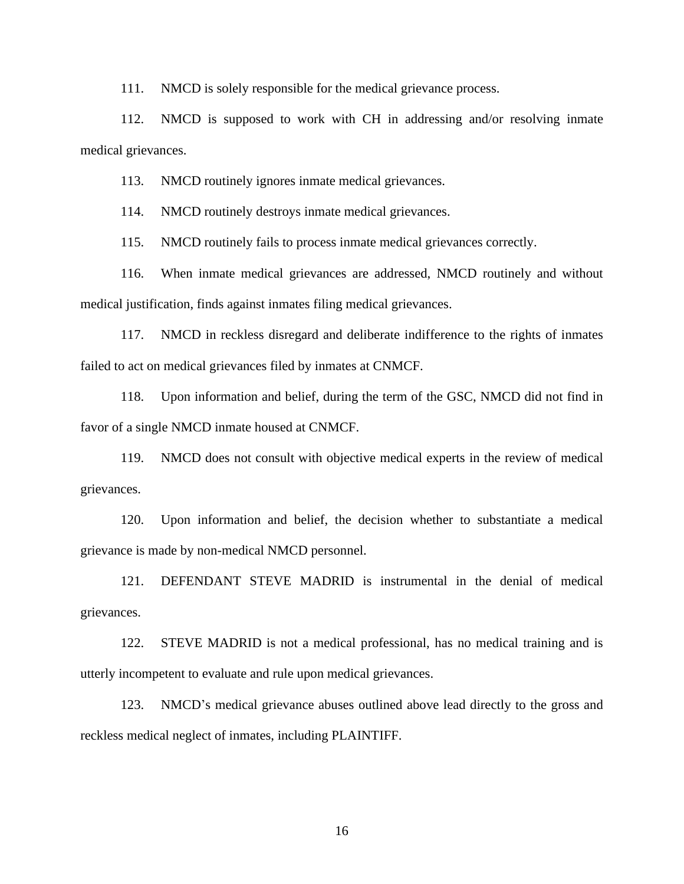111. NMCD is solely responsible for the medical grievance process.

112. NMCD is supposed to work with CH in addressing and/or resolving inmate medical grievances.

113. NMCD routinely ignores inmate medical grievances.

114. NMCD routinely destroys inmate medical grievances.

115. NMCD routinely fails to process inmate medical grievances correctly.

116. When inmate medical grievances are addressed, NMCD routinely and without medical justification, finds against inmates filing medical grievances.

117. NMCD in reckless disregard and deliberate indifference to the rights of inmates failed to act on medical grievances filed by inmates at CNMCF.

118. Upon information and belief, during the term of the GSC, NMCD did not find in favor of a single NMCD inmate housed at CNMCF.

119. NMCD does not consult with objective medical experts in the review of medical grievances.

120. Upon information and belief, the decision whether to substantiate a medical grievance is made by non-medical NMCD personnel.

121. DEFENDANT STEVE MADRID is instrumental in the denial of medical grievances.

122. STEVE MADRID is not a medical professional, has no medical training and is utterly incompetent to evaluate and rule upon medical grievances.

123. NMCD's medical grievance abuses outlined above lead directly to the gross and reckless medical neglect of inmates, including PLAINTIFF.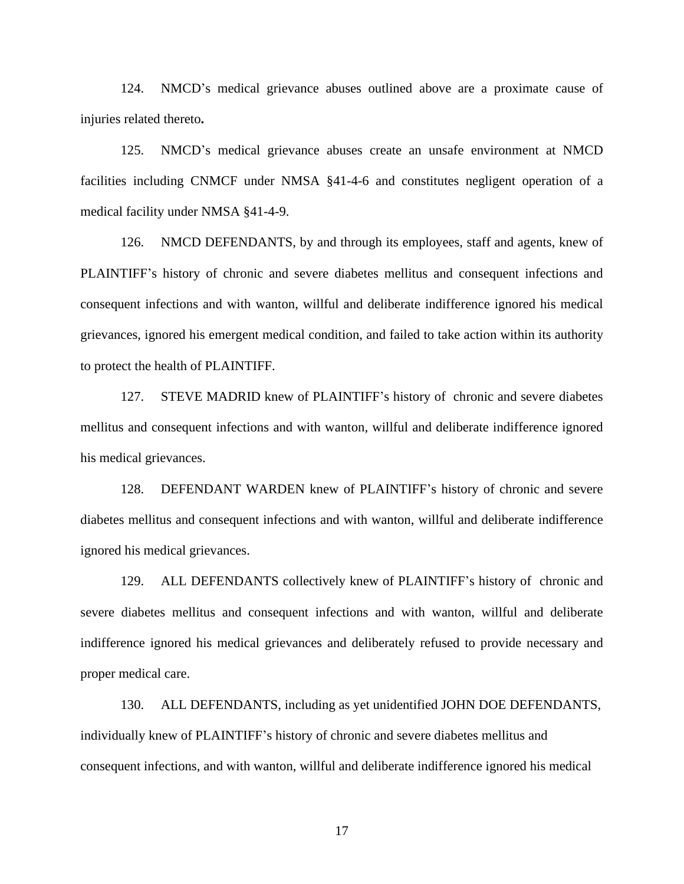124. NMCD's medical grievance abuses outlined above are a proximate cause of injuries related thereto**.**

125. NMCD's medical grievance abuses create an unsafe environment at NMCD facilities including CNMCF under NMSA §41-4-6 and constitutes negligent operation of a medical facility under NMSA §41-4-9.

126. NMCD DEFENDANTS, by and through its employees, staff and agents, knew of PLAINTIFF's history of chronic and severe diabetes mellitus and consequent infections and consequent infections and with wanton, willful and deliberate indifference ignored his medical grievances, ignored his emergent medical condition, and failed to take action within its authority to protect the health of PLAINTIFF.

127. STEVE MADRID knew of PLAINTIFF's history of chronic and severe diabetes mellitus and consequent infections and with wanton, willful and deliberate indifference ignored his medical grievances.

128. DEFENDANT WARDEN knew of PLAINTIFF's history of chronic and severe diabetes mellitus and consequent infections and with wanton, willful and deliberate indifference ignored his medical grievances.

129. ALL DEFENDANTS collectively knew of PLAINTIFF's history of chronic and severe diabetes mellitus and consequent infections and with wanton, willful and deliberate indifference ignored his medical grievances and deliberately refused to provide necessary and proper medical care.

130. ALL DEFENDANTS, including as yet unidentified JOHN DOE DEFENDANTS, individually knew of PLAINTIFF's history of chronic and severe diabetes mellitus and consequent infections, and with wanton, willful and deliberate indifference ignored his medical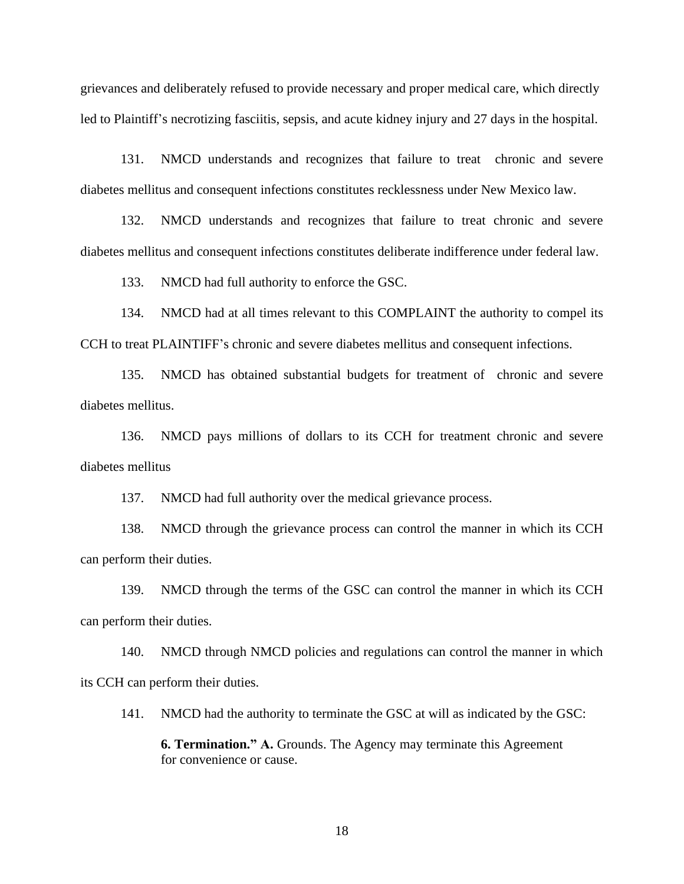grievances and deliberately refused to provide necessary and proper medical care, which directly led to Plaintiff's necrotizing fasciitis, sepsis, and acute kidney injury and 27 days in the hospital.

131. NMCD understands and recognizes that failure to treat chronic and severe diabetes mellitus and consequent infections constitutes recklessness under New Mexico law.

132. NMCD understands and recognizes that failure to treat chronic and severe diabetes mellitus and consequent infections constitutes deliberate indifference under federal law.

133. NMCD had full authority to enforce the GSC.

134. NMCD had at all times relevant to this COMPLAINT the authority to compel its CCH to treat PLAINTIFF's chronic and severe diabetes mellitus and consequent infections.

135. NMCD has obtained substantial budgets for treatment of chronic and severe diabetes mellitus.

136. NMCD pays millions of dollars to its CCH for treatment chronic and severe diabetes mellitus

137. NMCD had full authority over the medical grievance process.

138. NMCD through the grievance process can control the manner in which its CCH can perform their duties.

139. NMCD through the terms of the GSC can control the manner in which its CCH can perform their duties.

140. NMCD through NMCD policies and regulations can control the manner in which its CCH can perform their duties.

141. NMCD had the authority to terminate the GSC at will as indicated by the GSC:

**6. Termination." A.** Grounds. The Agency may terminate this Agreement for convenience or cause.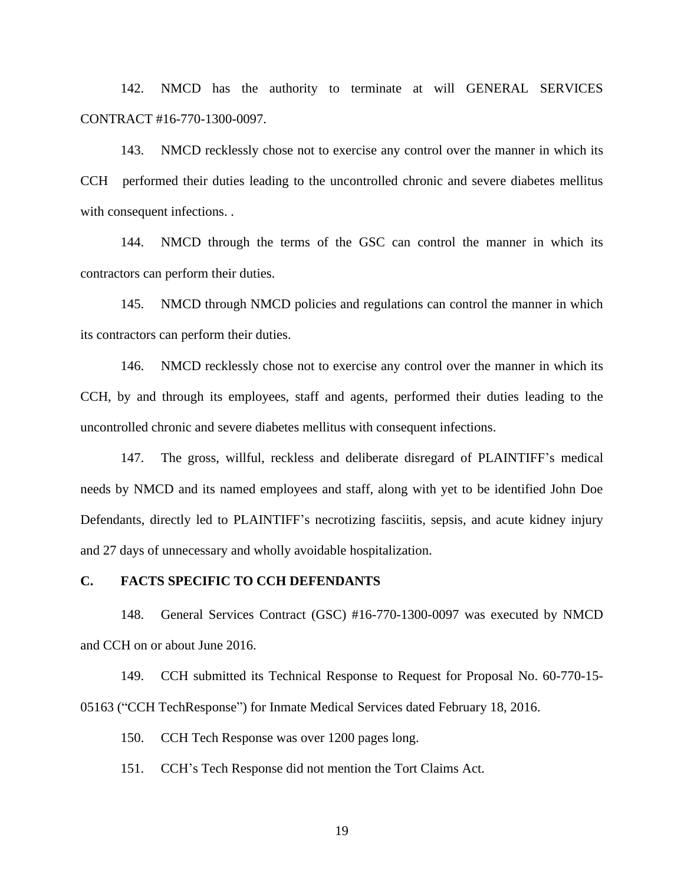142. NMCD has the authority to terminate at will GENERAL SERVICES CONTRACT #16-770-1300-0097.

143. NMCD recklessly chose not to exercise any control over the manner in which its CCH performed their duties leading to the uncontrolled chronic and severe diabetes mellitus with consequent infections. .

144. NMCD through the terms of the GSC can control the manner in which its contractors can perform their duties.

145. NMCD through NMCD policies and regulations can control the manner in which its contractors can perform their duties.

146. NMCD recklessly chose not to exercise any control over the manner in which its CCH, by and through its employees, staff and agents, performed their duties leading to the uncontrolled chronic and severe diabetes mellitus with consequent infections.

147. The gross, willful, reckless and deliberate disregard of PLAINTIFF's medical needs by NMCD and its named employees and staff, along with yet to be identified John Doe Defendants, directly led to PLAINTIFF's necrotizing fasciitis, sepsis, and acute kidney injury and 27 days of unnecessary and wholly avoidable hospitalization.

#### **C. FACTS SPECIFIC TO CCH DEFENDANTS**

148. General Services Contract (GSC) #16-770-1300-0097 was executed by NMCD and CCH on or about June 2016.

149. CCH submitted its Technical Response to Request for Proposal No. 60-770-15- 05163 ("CCH TechResponse") for Inmate Medical Services dated February 18, 2016.

150. CCH Tech Response was over 1200 pages long.

151. CCH's Tech Response did not mention the Tort Claims Act.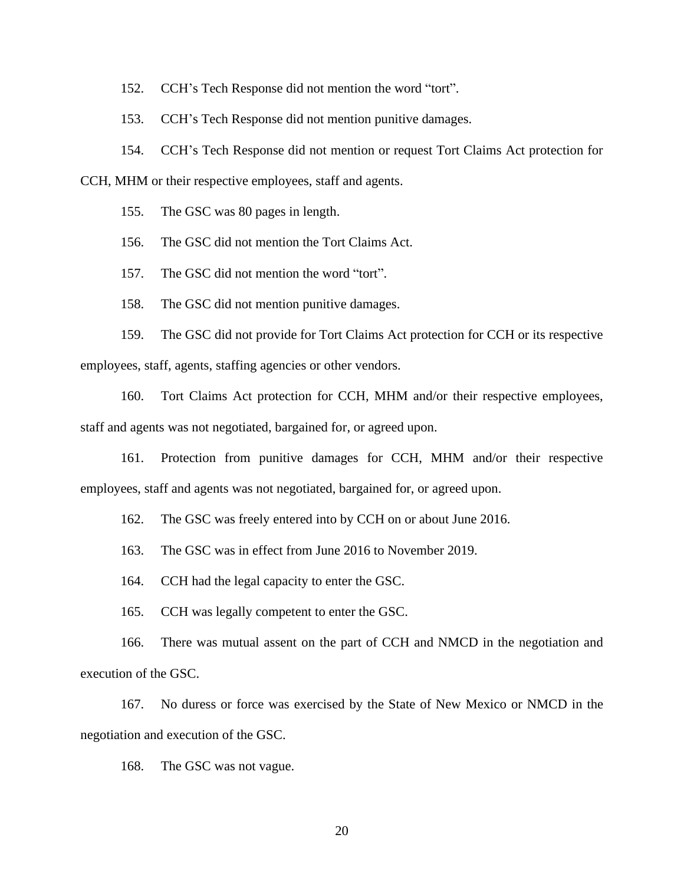152. CCH's Tech Response did not mention the word "tort".

153. CCH's Tech Response did not mention punitive damages.

154. CCH's Tech Response did not mention or request Tort Claims Act protection for

CCH, MHM or their respective employees, staff and agents.

155. The GSC was 80 pages in length.

156. The GSC did not mention the Tort Claims Act.

157. The GSC did not mention the word "tort".

158. The GSC did not mention punitive damages.

159. The GSC did not provide for Tort Claims Act protection for CCH or its respective employees, staff, agents, staffing agencies or other vendors.

160. Tort Claims Act protection for CCH, MHM and/or their respective employees, staff and agents was not negotiated, bargained for, or agreed upon.

161. Protection from punitive damages for CCH, MHM and/or their respective employees, staff and agents was not negotiated, bargained for, or agreed upon.

162. The GSC was freely entered into by CCH on or about June 2016.

163. The GSC was in effect from June 2016 to November 2019.

164. CCH had the legal capacity to enter the GSC.

165. CCH was legally competent to enter the GSC.

166. There was mutual assent on the part of CCH and NMCD in the negotiation and execution of the GSC.

167. No duress or force was exercised by the State of New Mexico or NMCD in the negotiation and execution of the GSC.

168. The GSC was not vague.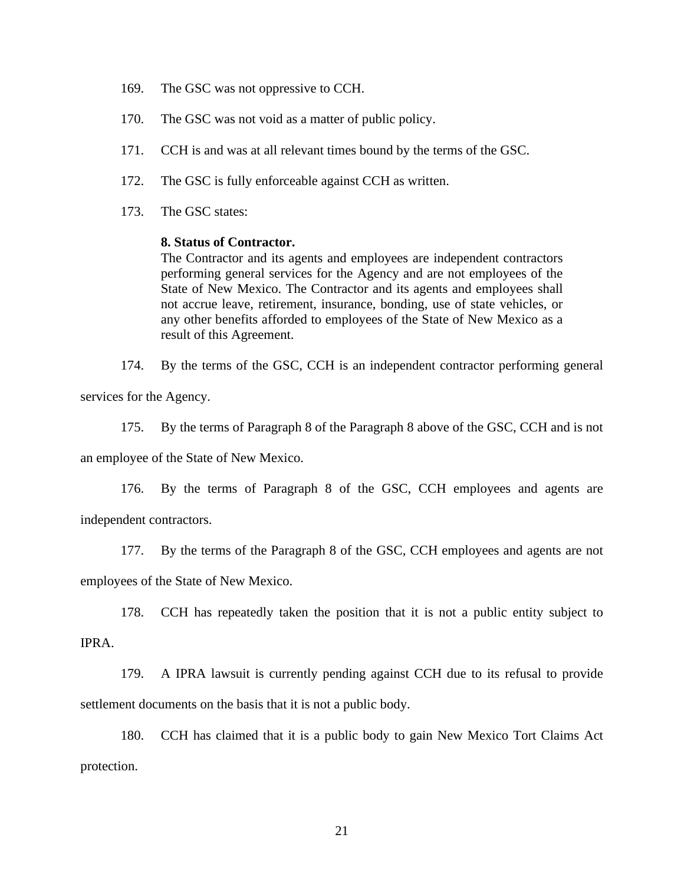- 169. The GSC was not oppressive to CCH.
- 170. The GSC was not void as a matter of public policy.
- 171. CCH is and was at all relevant times bound by the terms of the GSC.
- 172. The GSC is fully enforceable against CCH as written.
- 173. The GSC states:

#### **8. Status of Contractor.**

The Contractor and its agents and employees are independent contractors performing general services for the Agency and are not employees of the State of New Mexico. The Contractor and its agents and employees shall not accrue leave, retirement, insurance, bonding, use of state vehicles, or any other benefits afforded to employees of the State of New Mexico as a result of this Agreement.

174. By the terms of the GSC, CCH is an independent contractor performing general services for the Agency.

175. By the terms of Paragraph 8 of the Paragraph 8 above of the GSC, CCH and is not an employee of the State of New Mexico.

176. By the terms of Paragraph 8 of the GSC, CCH employees and agents are independent contractors.

177. By the terms of the Paragraph 8 of the GSC, CCH employees and agents are not employees of the State of New Mexico.

178. CCH has repeatedly taken the position that it is not a public entity subject to

IPRA.

179. A IPRA lawsuit is currently pending against CCH due to its refusal to provide settlement documents on the basis that it is not a public body.

180. CCH has claimed that it is a public body to gain New Mexico Tort Claims Act protection.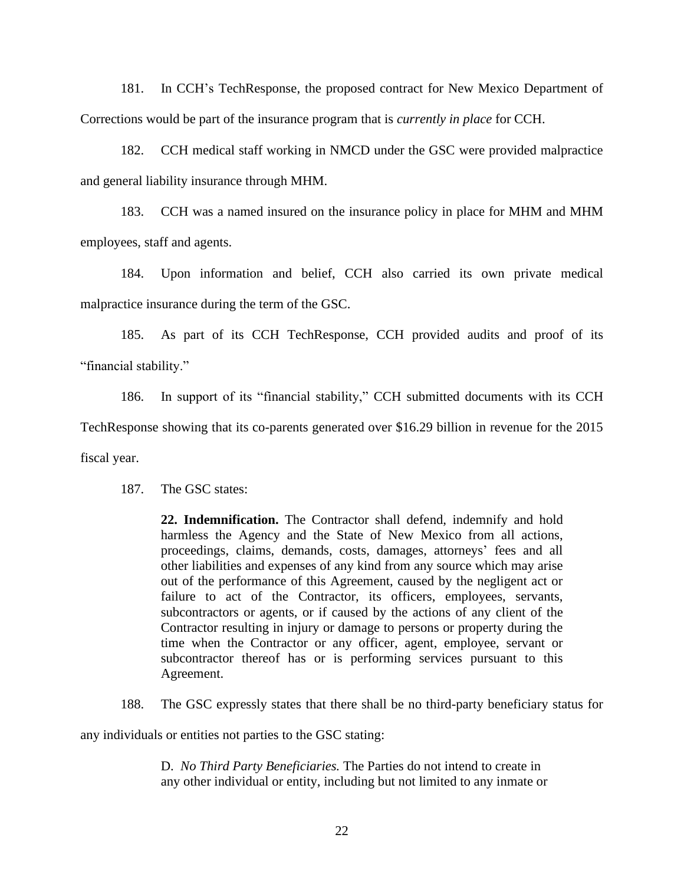181. In CCH's TechResponse, the proposed contract for New Mexico Department of Corrections would be part of the insurance program that is *currently in place* for CCH.

182. CCH medical staff working in NMCD under the GSC were provided malpractice and general liability insurance through MHM.

183. CCH was a named insured on the insurance policy in place for MHM and MHM employees, staff and agents.

184. Upon information and belief, CCH also carried its own private medical malpractice insurance during the term of the GSC.

185. As part of its CCH TechResponse, CCH provided audits and proof of its "financial stability."

186. In support of its "financial stability," CCH submitted documents with its CCH

TechResponse showing that its co-parents generated over \$16.29 billion in revenue for the 2015

fiscal year.

187. The GSC states:

**22. Indemnification.** The Contractor shall defend, indemnify and hold harmless the Agency and the State of New Mexico from all actions, proceedings, claims, demands, costs, damages, attorneys' fees and all other liabilities and expenses of any kind from any source which may arise out of the performance of this Agreement, caused by the negligent act or failure to act of the Contractor, its officers, employees, servants, subcontractors or agents, or if caused by the actions of any client of the Contractor resulting in injury or damage to persons or property during the time when the Contractor or any officer, agent, employee, servant or subcontractor thereof has or is performing services pursuant to this Agreement.

188. The GSC expressly states that there shall be no third-party beneficiary status for

any individuals or entities not parties to the GSC stating:

D. *No Third Party Beneficiaries.* The Parties do not intend to create in any other individual or entity, including but not limited to any inmate or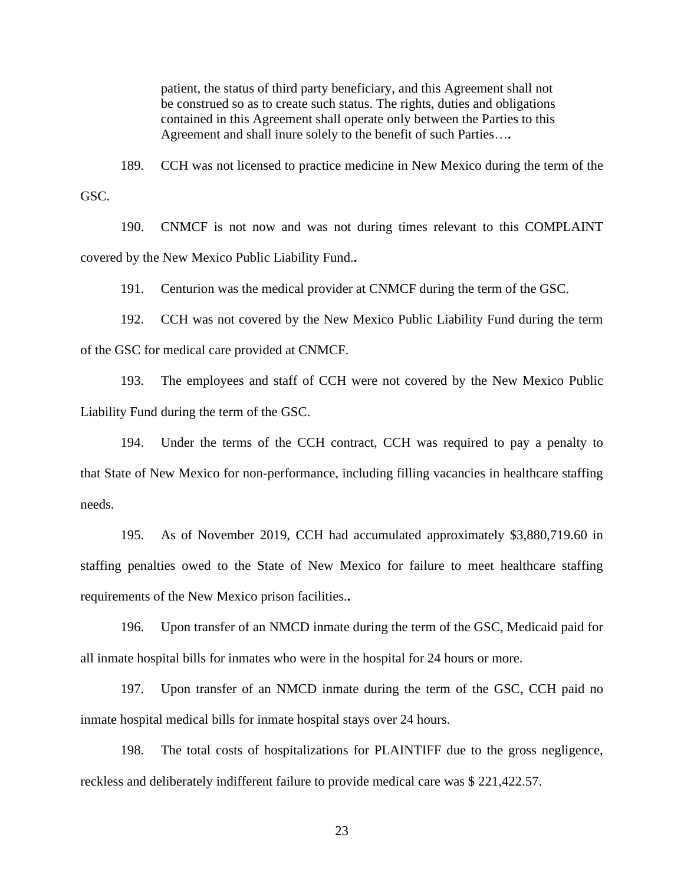patient, the status of third party beneficiary, and this Agreement shall not be construed so as to create such status. The rights, duties and obligations contained in this Agreement shall operate only between the Parties to this Agreement and shall inure solely to the benefit of such Parties…**.**

189. CCH was not licensed to practice medicine in New Mexico during the term of the GSC.

190. CNMCF is not now and was not during times relevant to this COMPLAINT covered by the New Mexico Public Liability Fund.**.** 

191. Centurion was the medical provider at CNMCF during the term of the GSC.

192. CCH was not covered by the New Mexico Public Liability Fund during the term of the GSC for medical care provided at CNMCF.

193. The employees and staff of CCH were not covered by the New Mexico Public Liability Fund during the term of the GSC.

194. Under the terms of the CCH contract, CCH was required to pay a penalty to that State of New Mexico for non-performance, including filling vacancies in healthcare staffing needs.

195. As of November 2019, CCH had accumulated approximately \$3,880,719.60 in staffing penalties owed to the State of New Mexico for failure to meet healthcare staffing requirements of the New Mexico prison facilities.**.** 

196. Upon transfer of an NMCD inmate during the term of the GSC, Medicaid paid for all inmate hospital bills for inmates who were in the hospital for 24 hours or more.

197. Upon transfer of an NMCD inmate during the term of the GSC, CCH paid no inmate hospital medical bills for inmate hospital stays over 24 hours.

198. The total costs of hospitalizations for PLAINTIFF due to the gross negligence, reckless and deliberately indifferent failure to provide medical care was \$ 221,422.57.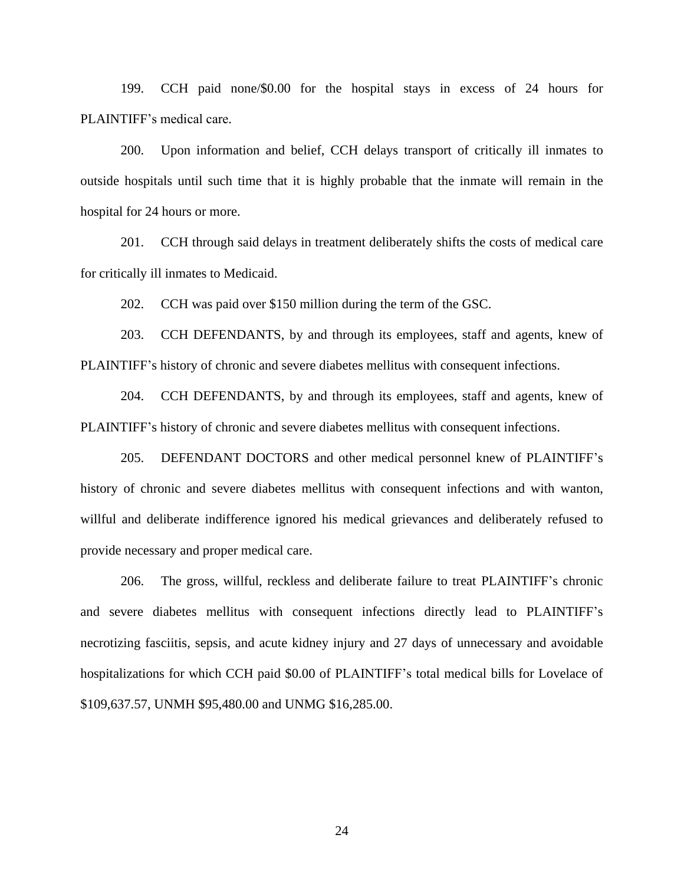199. CCH paid none/\$0.00 for the hospital stays in excess of 24 hours for PLAINTIFF's medical care.

200. Upon information and belief, CCH delays transport of critically ill inmates to outside hospitals until such time that it is highly probable that the inmate will remain in the hospital for 24 hours or more.

201. CCH through said delays in treatment deliberately shifts the costs of medical care for critically ill inmates to Medicaid.

202. CCH was paid over \$150 million during the term of the GSC.

203. CCH DEFENDANTS, by and through its employees, staff and agents, knew of PLAINTIFF's history of chronic and severe diabetes mellitus with consequent infections.

204. CCH DEFENDANTS, by and through its employees, staff and agents, knew of PLAINTIFF's history of chronic and severe diabetes mellitus with consequent infections.

205. DEFENDANT DOCTORS and other medical personnel knew of PLAINTIFF's history of chronic and severe diabetes mellitus with consequent infections and with wanton, willful and deliberate indifference ignored his medical grievances and deliberately refused to provide necessary and proper medical care.

206. The gross, willful, reckless and deliberate failure to treat PLAINTIFF's chronic and severe diabetes mellitus with consequent infections directly lead to PLAINTIFF's necrotizing fasciitis, sepsis, and acute kidney injury and 27 days of unnecessary and avoidable hospitalizations for which CCH paid \$0.00 of PLAINTIFF's total medical bills for Lovelace of \$109,637.57, UNMH \$95,480.00 and UNMG \$16,285.00.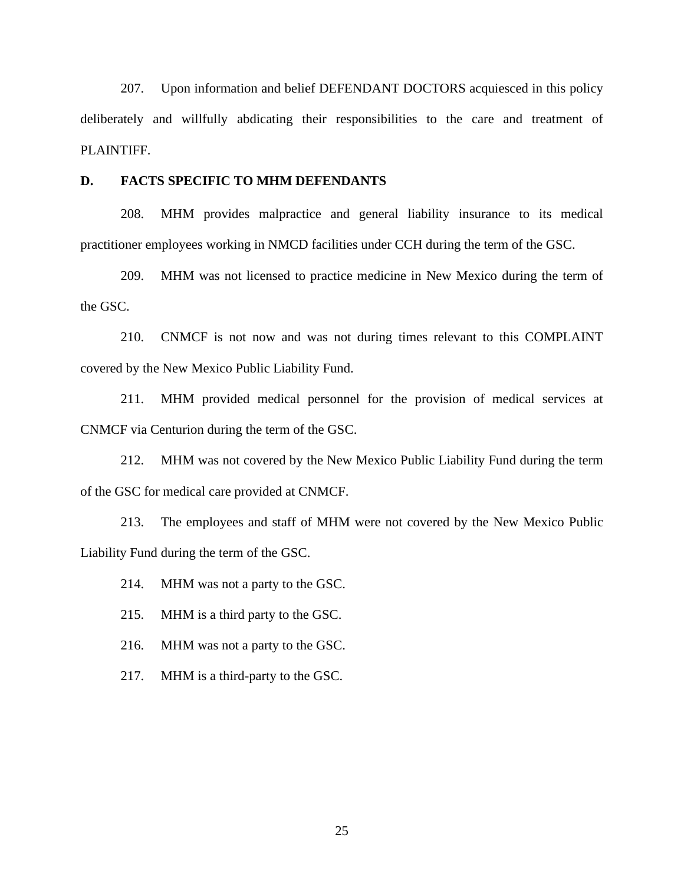207. Upon information and belief DEFENDANT DOCTORS acquiesced in this policy deliberately and willfully abdicating their responsibilities to the care and treatment of PLAINTIFF.

#### **D. FACTS SPECIFIC TO MHM DEFENDANTS**

208. MHM provides malpractice and general liability insurance to its medical practitioner employees working in NMCD facilities under CCH during the term of the GSC.

209. MHM was not licensed to practice medicine in New Mexico during the term of the GSC.

210. CNMCF is not now and was not during times relevant to this COMPLAINT covered by the New Mexico Public Liability Fund.

211. MHM provided medical personnel for the provision of medical services at CNMCF via Centurion during the term of the GSC.

212. MHM was not covered by the New Mexico Public Liability Fund during the term of the GSC for medical care provided at CNMCF.

213. The employees and staff of MHM were not covered by the New Mexico Public Liability Fund during the term of the GSC.

214. MHM was not a party to the GSC.

215. MHM is a third party to the GSC.

216. MHM was not a party to the GSC.

217. MHM is a third-party to the GSC.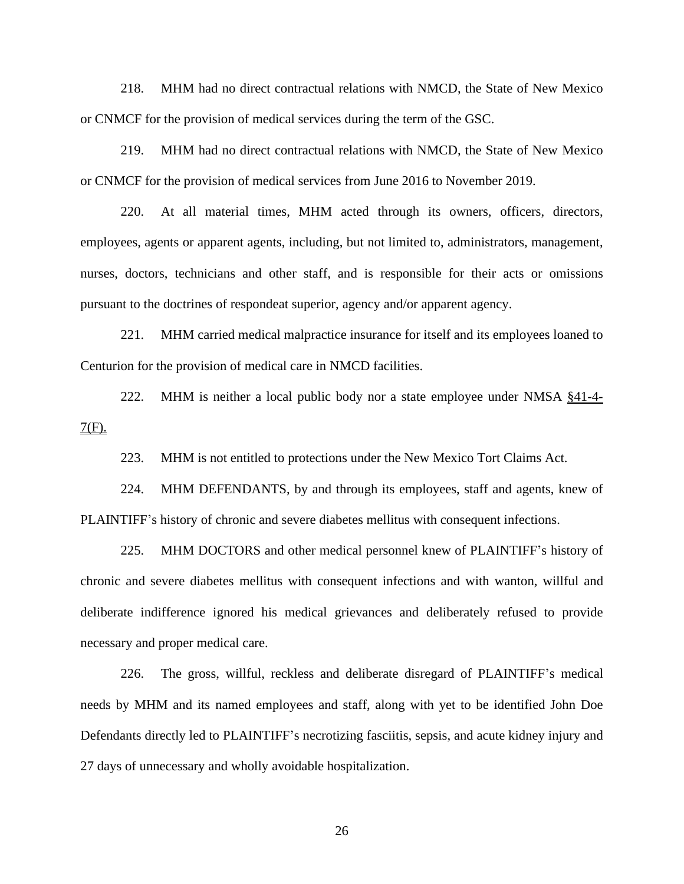218. MHM had no direct contractual relations with NMCD, the State of New Mexico or CNMCF for the provision of medical services during the term of the GSC.

219. MHM had no direct contractual relations with NMCD, the State of New Mexico or CNMCF for the provision of medical services from June 2016 to November 2019.

220. At all material times, MHM acted through its owners, officers, directors, employees, agents or apparent agents, including, but not limited to, administrators, management, nurses, doctors, technicians and other staff, and is responsible for their acts or omissions pursuant to the doctrines of respondeat superior, agency and/or apparent agency.

221. MHM carried medical malpractice insurance for itself and its employees loaned to Centurion for the provision of medical care in NMCD facilities.

222. MHM is neither a local public body nor a state employee under NMSA  $§41-4 7(F)$ .

223. MHM is not entitled to protections under the New Mexico Tort Claims Act.

224. MHM DEFENDANTS, by and through its employees, staff and agents, knew of PLAINTIFF's history of chronic and severe diabetes mellitus with consequent infections.

225. MHM DOCTORS and other medical personnel knew of PLAINTIFF's history of chronic and severe diabetes mellitus with consequent infections and with wanton, willful and deliberate indifference ignored his medical grievances and deliberately refused to provide necessary and proper medical care.

226. The gross, willful, reckless and deliberate disregard of PLAINTIFF's medical needs by MHM and its named employees and staff, along with yet to be identified John Doe Defendants directly led to PLAINTIFF's necrotizing fasciitis, sepsis, and acute kidney injury and 27 days of unnecessary and wholly avoidable hospitalization.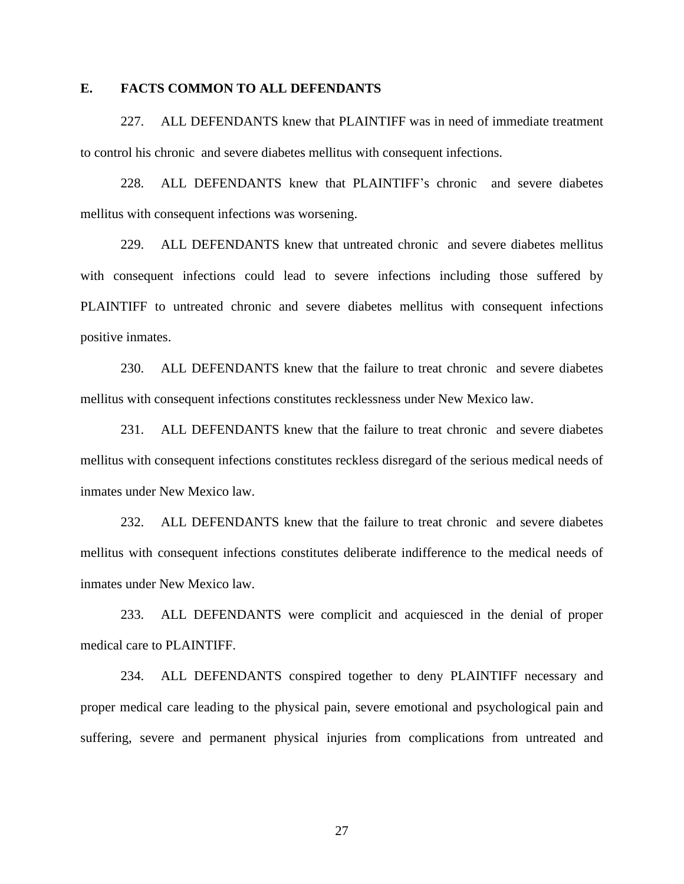#### **E. FACTS COMMON TO ALL DEFENDANTS**

227. ALL DEFENDANTS knew that PLAINTIFF was in need of immediate treatment to control his chronic and severe diabetes mellitus with consequent infections.

228. ALL DEFENDANTS knew that PLAINTIFF's chronic and severe diabetes mellitus with consequent infections was worsening.

229. ALL DEFENDANTS knew that untreated chronic and severe diabetes mellitus with consequent infections could lead to severe infections including those suffered by PLAINTIFF to untreated chronic and severe diabetes mellitus with consequent infections positive inmates.

230. ALL DEFENDANTS knew that the failure to treat chronic and severe diabetes mellitus with consequent infections constitutes recklessness under New Mexico law.

231. ALL DEFENDANTS knew that the failure to treat chronic and severe diabetes mellitus with consequent infections constitutes reckless disregard of the serious medical needs of inmates under New Mexico law.

232. ALL DEFENDANTS knew that the failure to treat chronic and severe diabetes mellitus with consequent infections constitutes deliberate indifference to the medical needs of inmates under New Mexico law.

233. ALL DEFENDANTS were complicit and acquiesced in the denial of proper medical care to PLAINTIFF.

234. ALL DEFENDANTS conspired together to deny PLAINTIFF necessary and proper medical care leading to the physical pain, severe emotional and psychological pain and suffering, severe and permanent physical injuries from complications from untreated and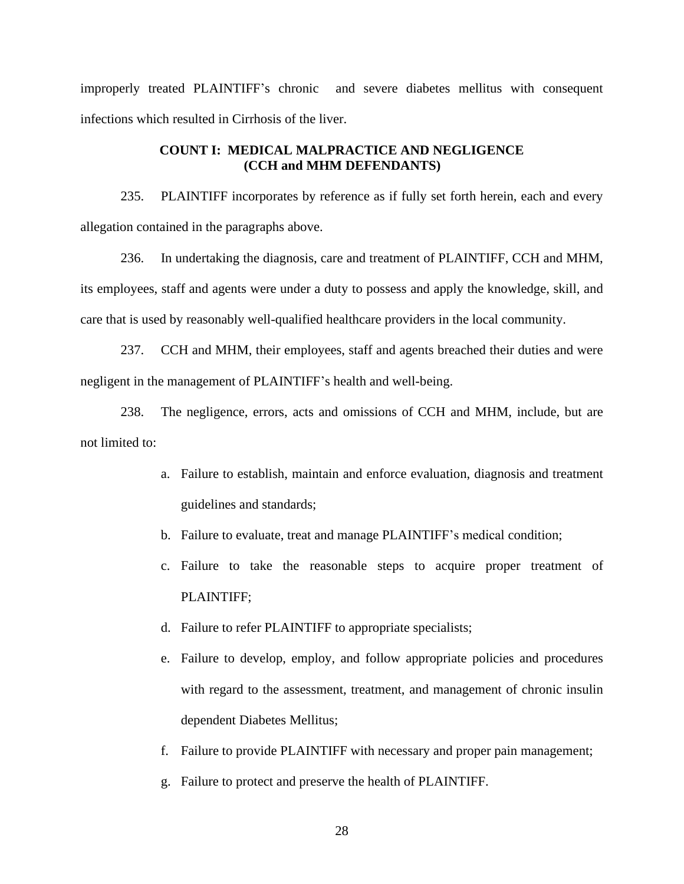improperly treated PLAINTIFF's chronic and severe diabetes mellitus with consequent infections which resulted in Cirrhosis of the liver.

### **COUNT I: MEDICAL MALPRACTICE AND NEGLIGENCE (CCH and MHM DEFENDANTS)**

235. PLAINTIFF incorporates by reference as if fully set forth herein, each and every allegation contained in the paragraphs above.

236. In undertaking the diagnosis, care and treatment of PLAINTIFF, CCH and MHM, its employees, staff and agents were under a duty to possess and apply the knowledge, skill, and care that is used by reasonably well-qualified healthcare providers in the local community.

237. CCH and MHM, their employees, staff and agents breached their duties and were negligent in the management of PLAINTIFF's health and well-being.

238. The negligence, errors, acts and omissions of CCH and MHM, include, but are not limited to:

- a. Failure to establish, maintain and enforce evaluation, diagnosis and treatment guidelines and standards;
- b. Failure to evaluate, treat and manage PLAINTIFF's medical condition;
- c. Failure to take the reasonable steps to acquire proper treatment of PLAINTIFF;
- d. Failure to refer PLAINTIFF to appropriate specialists;
- e. Failure to develop, employ, and follow appropriate policies and procedures with regard to the assessment, treatment, and management of chronic insulin dependent Diabetes Mellitus;
- f. Failure to provide PLAINTIFF with necessary and proper pain management;
- g. Failure to protect and preserve the health of PLAINTIFF.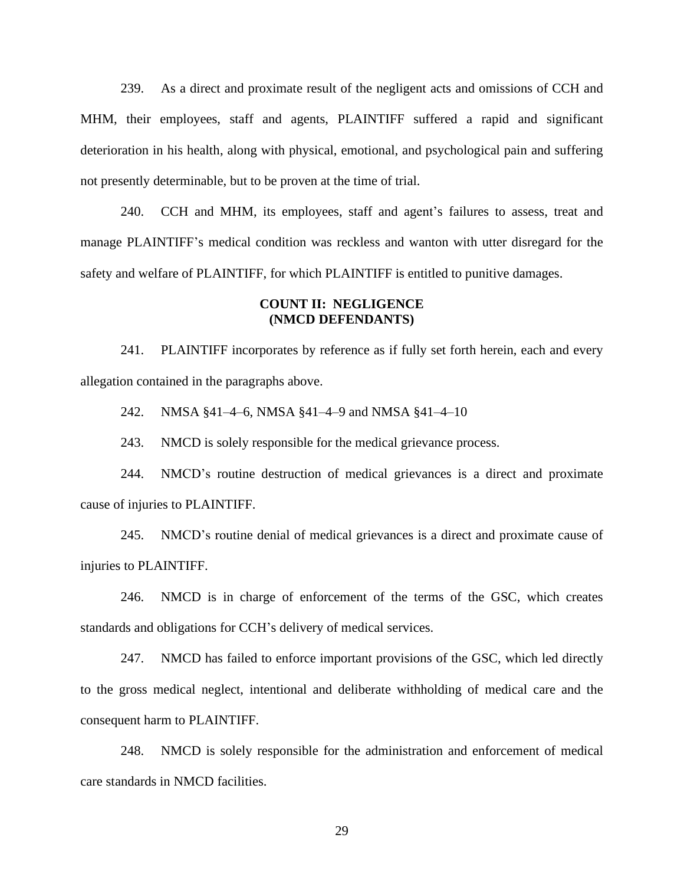239. As a direct and proximate result of the negligent acts and omissions of CCH and MHM, their employees, staff and agents, PLAINTIFF suffered a rapid and significant deterioration in his health, along with physical, emotional, and psychological pain and suffering not presently determinable, but to be proven at the time of trial.

240. CCH and MHM, its employees, staff and agent's failures to assess, treat and manage PLAINTIFF's medical condition was reckless and wanton with utter disregard for the safety and welfare of PLAINTIFF, for which PLAINTIFF is entitled to punitive damages.

#### **COUNT II: NEGLIGENCE (NMCD DEFENDANTS)**

241. PLAINTIFF incorporates by reference as if fully set forth herein, each and every allegation contained in the paragraphs above.

242. NMSA §41–4–6, NMSA §41–4–9 and NMSA §41–4–10

243. NMCD is solely responsible for the medical grievance process.

244. NMCD's routine destruction of medical grievances is a direct and proximate cause of injuries to PLAINTIFF.

245. NMCD's routine denial of medical grievances is a direct and proximate cause of injuries to PLAINTIFF.

246. NMCD is in charge of enforcement of the terms of the GSC, which creates standards and obligations for CCH's delivery of medical services.

247. NMCD has failed to enforce important provisions of the GSC, which led directly to the gross medical neglect, intentional and deliberate withholding of medical care and the consequent harm to PLAINTIFF.

248. NMCD is solely responsible for the administration and enforcement of medical care standards in NMCD facilities.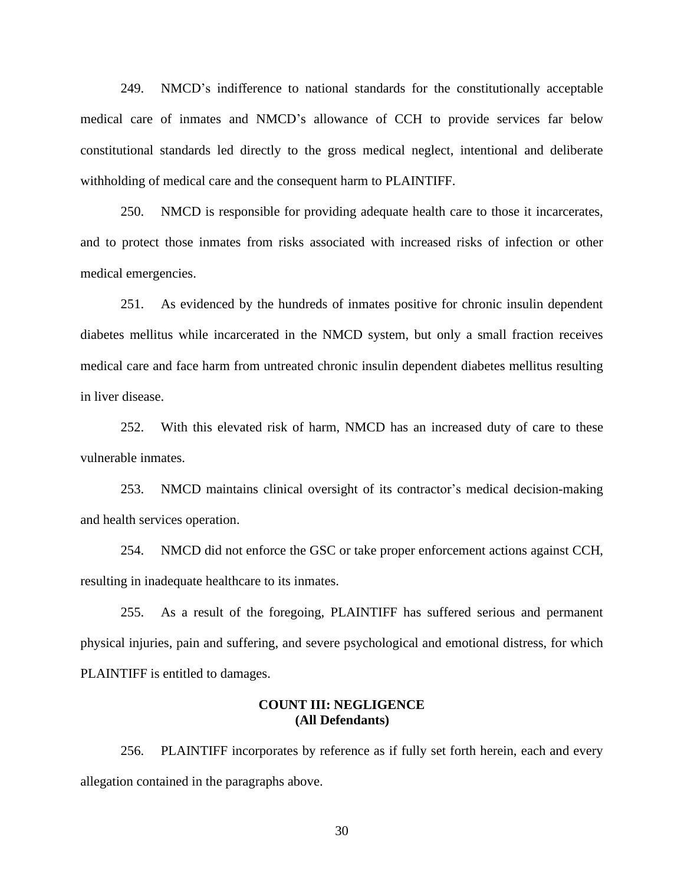249. NMCD's indifference to national standards for the constitutionally acceptable medical care of inmates and NMCD's allowance of CCH to provide services far below constitutional standards led directly to the gross medical neglect, intentional and deliberate withholding of medical care and the consequent harm to PLAINTIFF.

250. NMCD is responsible for providing adequate health care to those it incarcerates, and to protect those inmates from risks associated with increased risks of infection or other medical emergencies.

251. As evidenced by the hundreds of inmates positive for chronic insulin dependent diabetes mellitus while incarcerated in the NMCD system, but only a small fraction receives medical care and face harm from untreated chronic insulin dependent diabetes mellitus resulting in liver disease.

252. With this elevated risk of harm, NMCD has an increased duty of care to these vulnerable inmates.

253. NMCD maintains clinical oversight of its contractor's medical decision-making and health services operation.

254. NMCD did not enforce the GSC or take proper enforcement actions against CCH, resulting in inadequate healthcare to its inmates.

255. As a result of the foregoing, PLAINTIFF has suffered serious and permanent physical injuries, pain and suffering, and severe psychological and emotional distress, for which PLAINTIFF is entitled to damages.

### **COUNT III: NEGLIGENCE (All Defendants)**

256. PLAINTIFF incorporates by reference as if fully set forth herein, each and every allegation contained in the paragraphs above.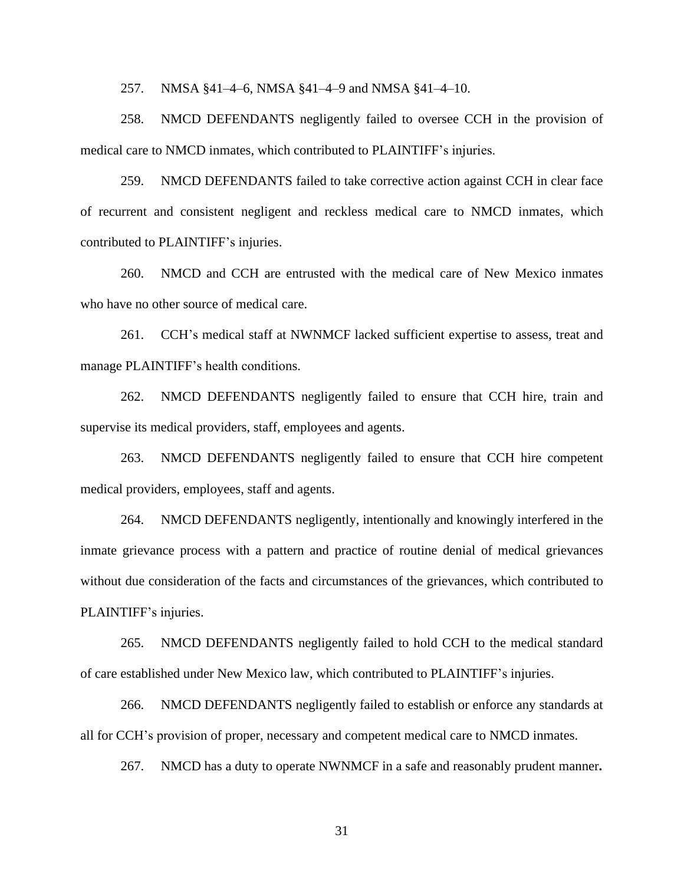257. NMSA §41–4–6, NMSA §41–4–9 and NMSA §41–4–10.

258. NMCD DEFENDANTS negligently failed to oversee CCH in the provision of medical care to NMCD inmates, which contributed to PLAINTIFF's injuries.

259. NMCD DEFENDANTS failed to take corrective action against CCH in clear face of recurrent and consistent negligent and reckless medical care to NMCD inmates, which contributed to PLAINTIFF's injuries.

260. NMCD and CCH are entrusted with the medical care of New Mexico inmates who have no other source of medical care.

261. CCH's medical staff at NWNMCF lacked sufficient expertise to assess, treat and manage PLAINTIFF's health conditions.

262. NMCD DEFENDANTS negligently failed to ensure that CCH hire, train and supervise its medical providers, staff, employees and agents.

263. NMCD DEFENDANTS negligently failed to ensure that CCH hire competent medical providers, employees, staff and agents.

264. NMCD DEFENDANTS negligently, intentionally and knowingly interfered in the inmate grievance process with a pattern and practice of routine denial of medical grievances without due consideration of the facts and circumstances of the grievances, which contributed to PLAINTIFF's injuries.

265. NMCD DEFENDANTS negligently failed to hold CCH to the medical standard of care established under New Mexico law, which contributed to PLAINTIFF's injuries.

266. NMCD DEFENDANTS negligently failed to establish or enforce any standards at all for CCH's provision of proper, necessary and competent medical care to NMCD inmates.

267. NMCD has a duty to operate NWNMCF in a safe and reasonably prudent manner**.**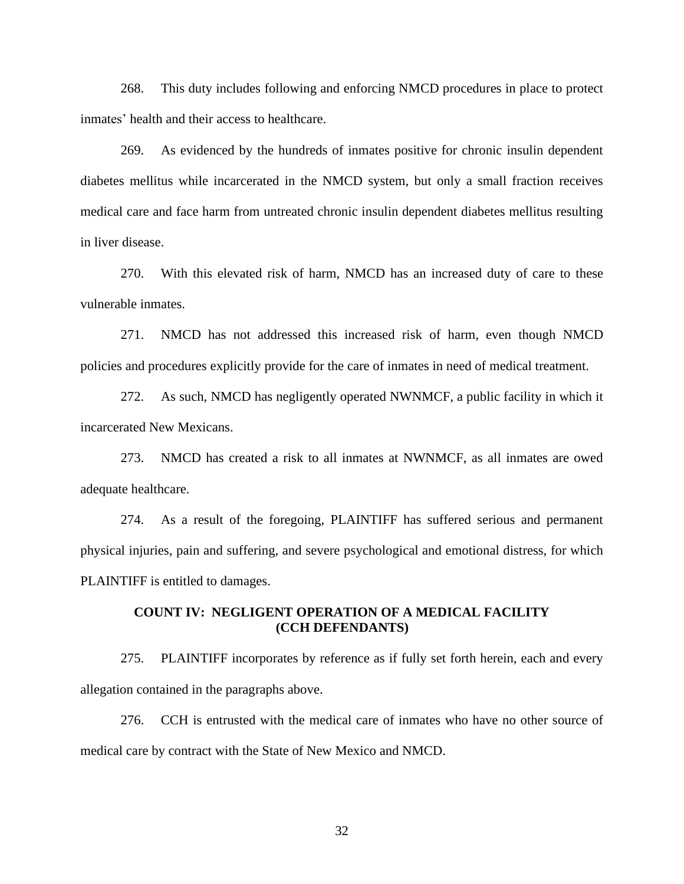268. This duty includes following and enforcing NMCD procedures in place to protect inmates' health and their access to healthcare.

269. As evidenced by the hundreds of inmates positive for chronic insulin dependent diabetes mellitus while incarcerated in the NMCD system, but only a small fraction receives medical care and face harm from untreated chronic insulin dependent diabetes mellitus resulting in liver disease.

270. With this elevated risk of harm, NMCD has an increased duty of care to these vulnerable inmates.

271. NMCD has not addressed this increased risk of harm, even though NMCD policies and procedures explicitly provide for the care of inmates in need of medical treatment.

272. As such, NMCD has negligently operated NWNMCF, a public facility in which it incarcerated New Mexicans.

273. NMCD has created a risk to all inmates at NWNMCF, as all inmates are owed adequate healthcare.

274. As a result of the foregoing, PLAINTIFF has suffered serious and permanent physical injuries, pain and suffering, and severe psychological and emotional distress, for which PLAINTIFF is entitled to damages.

### **COUNT IV: NEGLIGENT OPERATION OF A MEDICAL FACILITY (CCH DEFENDANTS)**

275. PLAINTIFF incorporates by reference as if fully set forth herein, each and every allegation contained in the paragraphs above.

276. CCH is entrusted with the medical care of inmates who have no other source of medical care by contract with the State of New Mexico and NMCD.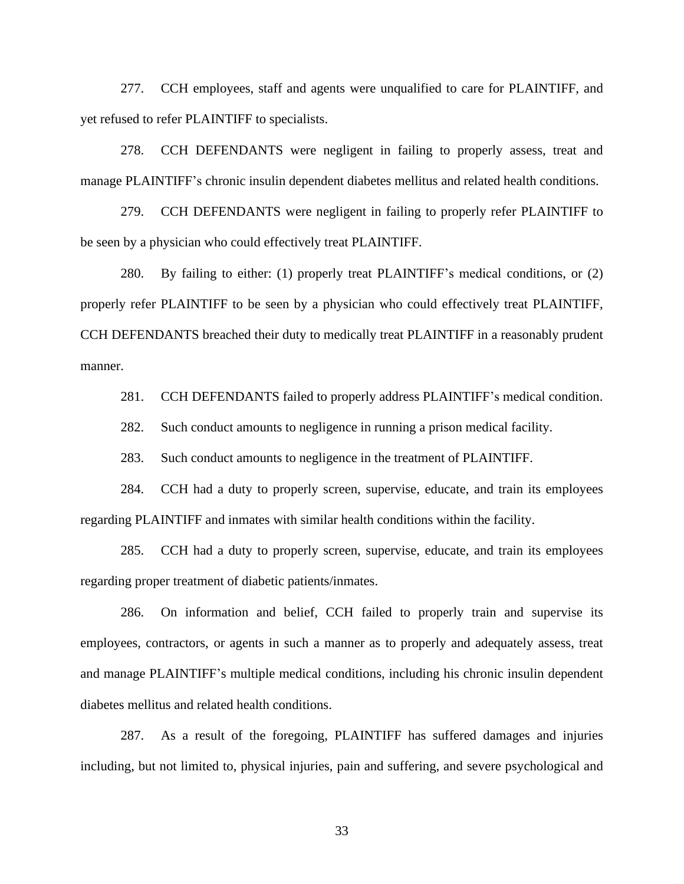277. CCH employees, staff and agents were unqualified to care for PLAINTIFF, and yet refused to refer PLAINTIFF to specialists.

278. CCH DEFENDANTS were negligent in failing to properly assess, treat and manage PLAINTIFF's chronic insulin dependent diabetes mellitus and related health conditions.

279. CCH DEFENDANTS were negligent in failing to properly refer PLAINTIFF to be seen by a physician who could effectively treat PLAINTIFF.

280. By failing to either: (1) properly treat PLAINTIFF's medical conditions, or (2) properly refer PLAINTIFF to be seen by a physician who could effectively treat PLAINTIFF, CCH DEFENDANTS breached their duty to medically treat PLAINTIFF in a reasonably prudent manner.

281. CCH DEFENDANTS failed to properly address PLAINTIFF's medical condition.

282. Such conduct amounts to negligence in running a prison medical facility.

283. Such conduct amounts to negligence in the treatment of PLAINTIFF.

284. CCH had a duty to properly screen, supervise, educate, and train its employees regarding PLAINTIFF and inmates with similar health conditions within the facility.

285. CCH had a duty to properly screen, supervise, educate, and train its employees regarding proper treatment of diabetic patients/inmates.

286. On information and belief, CCH failed to properly train and supervise its employees, contractors, or agents in such a manner as to properly and adequately assess, treat and manage PLAINTIFF's multiple medical conditions, including his chronic insulin dependent diabetes mellitus and related health conditions.

287. As a result of the foregoing, PLAINTIFF has suffered damages and injuries including, but not limited to, physical injuries, pain and suffering, and severe psychological and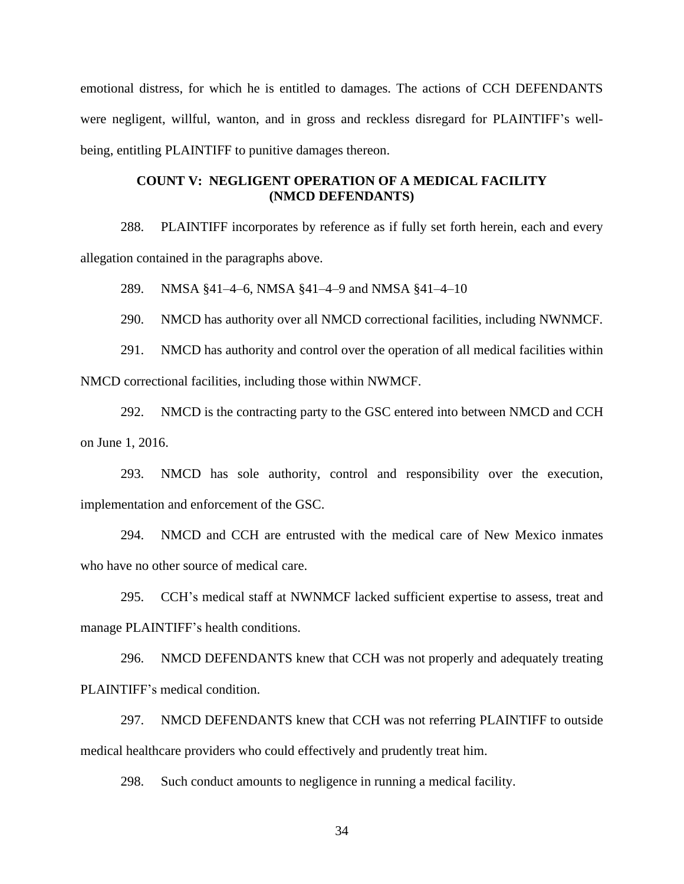emotional distress, for which he is entitled to damages. The actions of CCH DEFENDANTS were negligent, willful, wanton, and in gross and reckless disregard for PLAINTIFF's wellbeing, entitling PLAINTIFF to punitive damages thereon.

## **COUNT V: NEGLIGENT OPERATION OF A MEDICAL FACILITY (NMCD DEFENDANTS)**

288. PLAINTIFF incorporates by reference as if fully set forth herein, each and every allegation contained in the paragraphs above.

289. NMSA §41–4–6, NMSA §41–4–9 and NMSA §41–4–10

290. NMCD has authority over all NMCD correctional facilities, including NWNMCF.

291. NMCD has authority and control over the operation of all medical facilities within NMCD correctional facilities, including those within NWMCF.

292. NMCD is the contracting party to the GSC entered into between NMCD and CCH on June 1, 2016.

293. NMCD has sole authority, control and responsibility over the execution, implementation and enforcement of the GSC.

294. NMCD and CCH are entrusted with the medical care of New Mexico inmates who have no other source of medical care.

295. CCH's medical staff at NWNMCF lacked sufficient expertise to assess, treat and manage PLAINTIFF's health conditions.

296. NMCD DEFENDANTS knew that CCH was not properly and adequately treating PLAINTIFF's medical condition.

297. NMCD DEFENDANTS knew that CCH was not referring PLAINTIFF to outside medical healthcare providers who could effectively and prudently treat him.

298. Such conduct amounts to negligence in running a medical facility.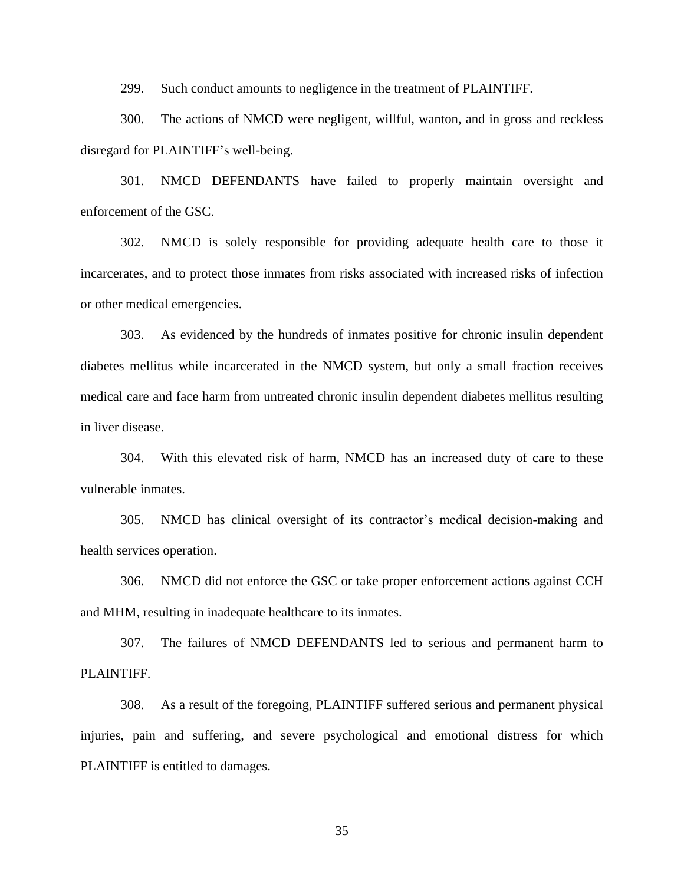299. Such conduct amounts to negligence in the treatment of PLAINTIFF.

300. The actions of NMCD were negligent, willful, wanton, and in gross and reckless disregard for PLAINTIFF's well-being.

301. NMCD DEFENDANTS have failed to properly maintain oversight and enforcement of the GSC.

302. NMCD is solely responsible for providing adequate health care to those it incarcerates, and to protect those inmates from risks associated with increased risks of infection or other medical emergencies.

303. As evidenced by the hundreds of inmates positive for chronic insulin dependent diabetes mellitus while incarcerated in the NMCD system, but only a small fraction receives medical care and face harm from untreated chronic insulin dependent diabetes mellitus resulting in liver disease.

304. With this elevated risk of harm, NMCD has an increased duty of care to these vulnerable inmates.

305. NMCD has clinical oversight of its contractor's medical decision-making and health services operation.

306. NMCD did not enforce the GSC or take proper enforcement actions against CCH and MHM, resulting in inadequate healthcare to its inmates.

307. The failures of NMCD DEFENDANTS led to serious and permanent harm to PLAINTIFF.

308. As a result of the foregoing, PLAINTIFF suffered serious and permanent physical injuries, pain and suffering, and severe psychological and emotional distress for which PLAINTIFF is entitled to damages.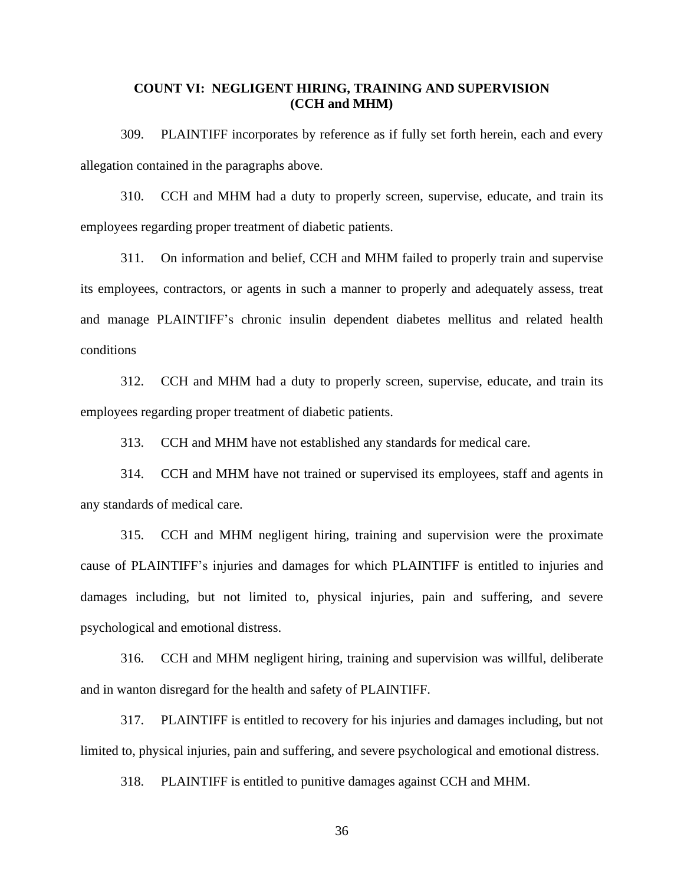## **COUNT VI: NEGLIGENT HIRING, TRAINING AND SUPERVISION (CCH and MHM)**

309. PLAINTIFF incorporates by reference as if fully set forth herein, each and every allegation contained in the paragraphs above.

310. CCH and MHM had a duty to properly screen, supervise, educate, and train its employees regarding proper treatment of diabetic patients.

311. On information and belief, CCH and MHM failed to properly train and supervise its employees, contractors, or agents in such a manner to properly and adequately assess, treat and manage PLAINTIFF's chronic insulin dependent diabetes mellitus and related health conditions

312. CCH and MHM had a duty to properly screen, supervise, educate, and train its employees regarding proper treatment of diabetic patients.

313. CCH and MHM have not established any standards for medical care.

314. CCH and MHM have not trained or supervised its employees, staff and agents in any standards of medical care.

315. CCH and MHM negligent hiring, training and supervision were the proximate cause of PLAINTIFF's injuries and damages for which PLAINTIFF is entitled to injuries and damages including, but not limited to, physical injuries, pain and suffering, and severe psychological and emotional distress.

316. CCH and MHM negligent hiring, training and supervision was willful, deliberate and in wanton disregard for the health and safety of PLAINTIFF.

317. PLAINTIFF is entitled to recovery for his injuries and damages including, but not limited to, physical injuries, pain and suffering, and severe psychological and emotional distress.

318. PLAINTIFF is entitled to punitive damages against CCH and MHM.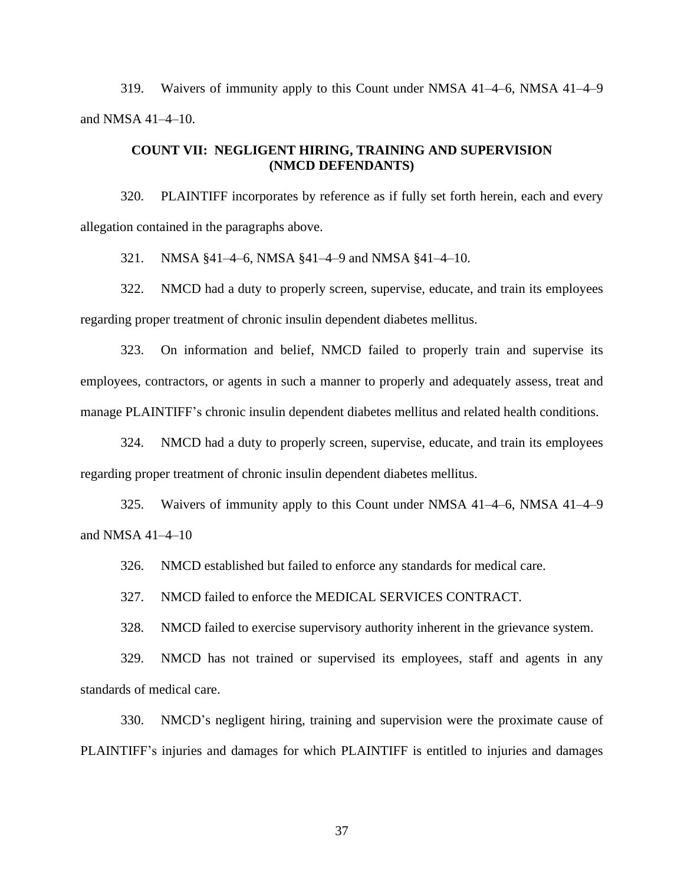319. Waivers of immunity apply to this Count under NMSA 41–4–6, NMSA 41–4–9 and NMSA 41–4–10.

### **COUNT VII: NEGLIGENT HIRING, TRAINING AND SUPERVISION (NMCD DEFENDANTS)**

320. PLAINTIFF incorporates by reference as if fully set forth herein, each and every allegation contained in the paragraphs above.

321. NMSA §41–4–6, NMSA §41–4–9 and NMSA §41–4–10.

322. NMCD had a duty to properly screen, supervise, educate, and train its employees regarding proper treatment of chronic insulin dependent diabetes mellitus.

323. On information and belief, NMCD failed to properly train and supervise its employees, contractors, or agents in such a manner to properly and adequately assess, treat and manage PLAINTIFF's chronic insulin dependent diabetes mellitus and related health conditions.

324. NMCD had a duty to properly screen, supervise, educate, and train its employees regarding proper treatment of chronic insulin dependent diabetes mellitus.

325. Waivers of immunity apply to this Count under NMSA 41–4–6, NMSA 41–4–9 and NMSA 41–4–10

326. NMCD established but failed to enforce any standards for medical care.

327. NMCD failed to enforce the MEDICAL SERVICES CONTRACT.

328. NMCD failed to exercise supervisory authority inherent in the grievance system.

329. NMCD has not trained or supervised its employees, staff and agents in any standards of medical care.

330. NMCD's negligent hiring, training and supervision were the proximate cause of PLAINTIFF's injuries and damages for which PLAINTIFF is entitled to injuries and damages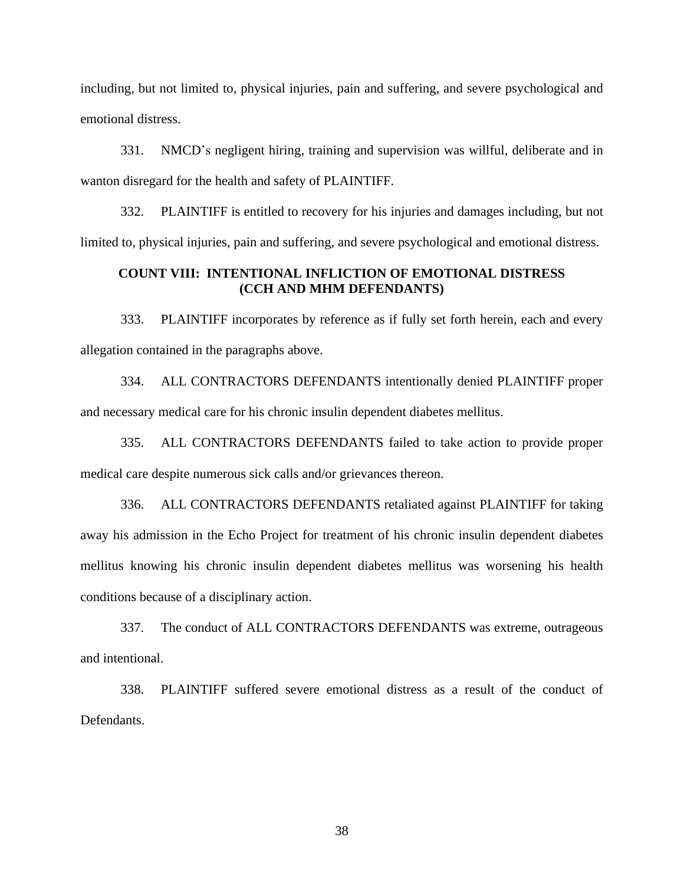including, but not limited to, physical injuries, pain and suffering, and severe psychological and emotional distress.

331. NMCD's negligent hiring, training and supervision was willful, deliberate and in wanton disregard for the health and safety of PLAINTIFF.

332. PLAINTIFF is entitled to recovery for his injuries and damages including, but not limited to, physical injuries, pain and suffering, and severe psychological and emotional distress.

## **COUNT VIII: INTENTIONAL INFLICTION OF EMOTIONAL DISTRESS (CCH AND MHM DEFENDANTS)**

333. PLAINTIFF incorporates by reference as if fully set forth herein, each and every allegation contained in the paragraphs above.

334. ALL CONTRACTORS DEFENDANTS intentionally denied PLAINTIFF proper and necessary medical care for his chronic insulin dependent diabetes mellitus.

335. ALL CONTRACTORS DEFENDANTS failed to take action to provide proper medical care despite numerous sick calls and/or grievances thereon.

336. ALL CONTRACTORS DEFENDANTS retaliated against PLAINTIFF for taking away his admission in the Echo Project for treatment of his chronic insulin dependent diabetes mellitus knowing his chronic insulin dependent diabetes mellitus was worsening his health conditions because of a disciplinary action.

337. The conduct of ALL CONTRACTORS DEFENDANTS was extreme, outrageous and intentional.

338. PLAINTIFF suffered severe emotional distress as a result of the conduct of Defendants.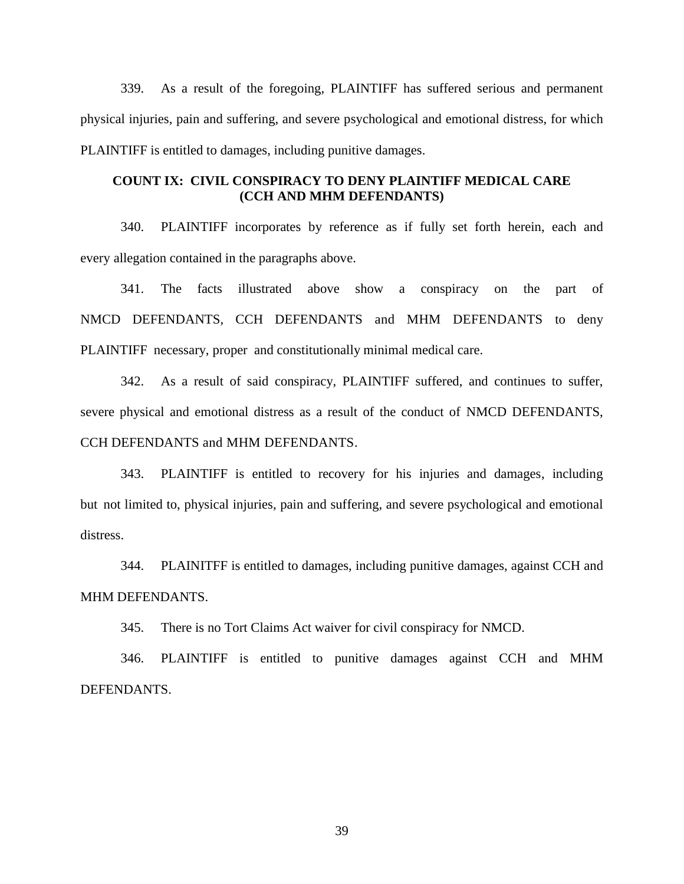339. As a result of the foregoing, PLAINTIFF has suffered serious and permanent physical injuries, pain and suffering, and severe psychological and emotional distress, for which PLAINTIFF is entitled to damages, including punitive damages.

## **COUNT IX: CIVIL CONSPIRACY TO DENY PLAINTIFF MEDICAL CARE (CCH AND MHM DEFENDANTS)**

340. PLAINTIFF incorporates by reference as if fully set forth herein, each and every allegation contained in the paragraphs above.

341. The facts illustrated above show a conspiracy on the part of NMCD DEFENDANTS, CCH DEFENDANTS and MHM DEFENDANTS to deny PLAINTIFF necessary, proper and constitutionally minimal medical care.

342. As a result of said conspiracy, PLAINTIFF suffered, and continues to suffer, severe physical and emotional distress as a result of the conduct of NMCD DEFENDANTS, CCH DEFENDANTS and MHM DEFENDANTS.

343. PLAINTIFF is entitled to recovery for his injuries and damages, including but not limited to, physical injuries, pain and suffering, and severe psychological and emotional distress.

344. PLAINITFF is entitled to damages, including punitive damages, against CCH and MHM DEFENDANTS.

345. There is no Tort Claims Act waiver for civil conspiracy for NMCD.

346. PLAINTIFF is entitled to punitive damages against CCH and MHM DEFENDANTS.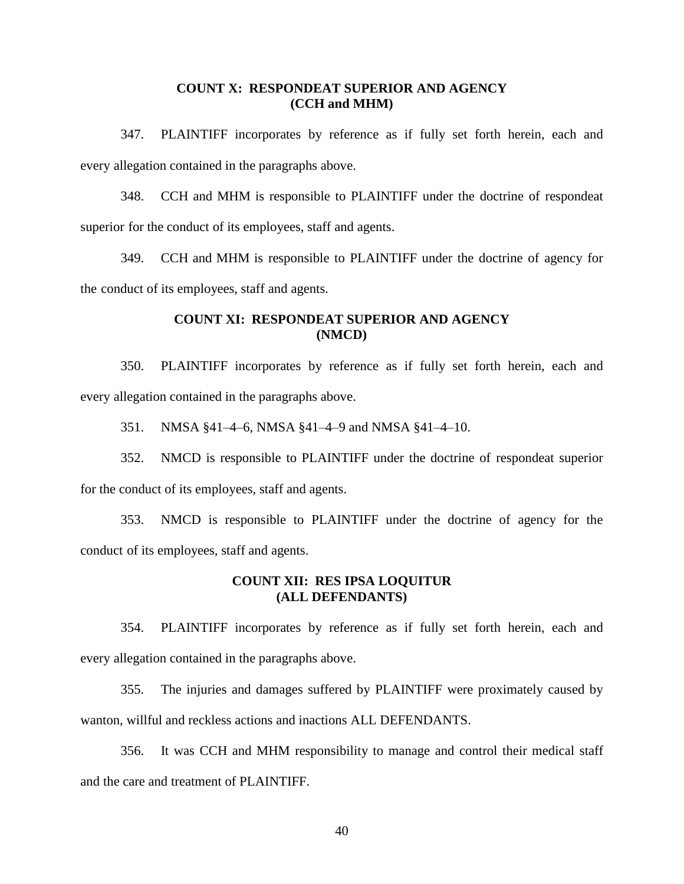### **COUNT X: RESPONDEAT SUPERIOR AND AGENCY (CCH and MHM)**

347. PLAINTIFF incorporates by reference as if fully set forth herein, each and every allegation contained in the paragraphs above.

348. CCH and MHM is responsible to PLAINTIFF under the doctrine of respondeat superior for the conduct of its employees, staff and agents.

349. CCH and MHM is responsible to PLAINTIFF under the doctrine of agency for the conduct of its employees, staff and agents.

## **COUNT XI: RESPONDEAT SUPERIOR AND AGENCY (NMCD)**

350. PLAINTIFF incorporates by reference as if fully set forth herein, each and every allegation contained in the paragraphs above.

351. NMSA §41–4–6, NMSA §41–4–9 and NMSA §41–4–10.

352. NMCD is responsible to PLAINTIFF under the doctrine of respondeat superior for the conduct of its employees, staff and agents.

353. NMCD is responsible to PLAINTIFF under the doctrine of agency for the conduct of its employees, staff and agents.

### **COUNT XII: RES IPSA LOQUITUR (ALL DEFENDANTS)**

354. PLAINTIFF incorporates by reference as if fully set forth herein, each and every allegation contained in the paragraphs above.

355. The injuries and damages suffered by PLAINTIFF were proximately caused by wanton, willful and reckless actions and inactions ALL DEFENDANTS.

356. It was CCH and MHM responsibility to manage and control their medical staff and the care and treatment of PLAINTIFF.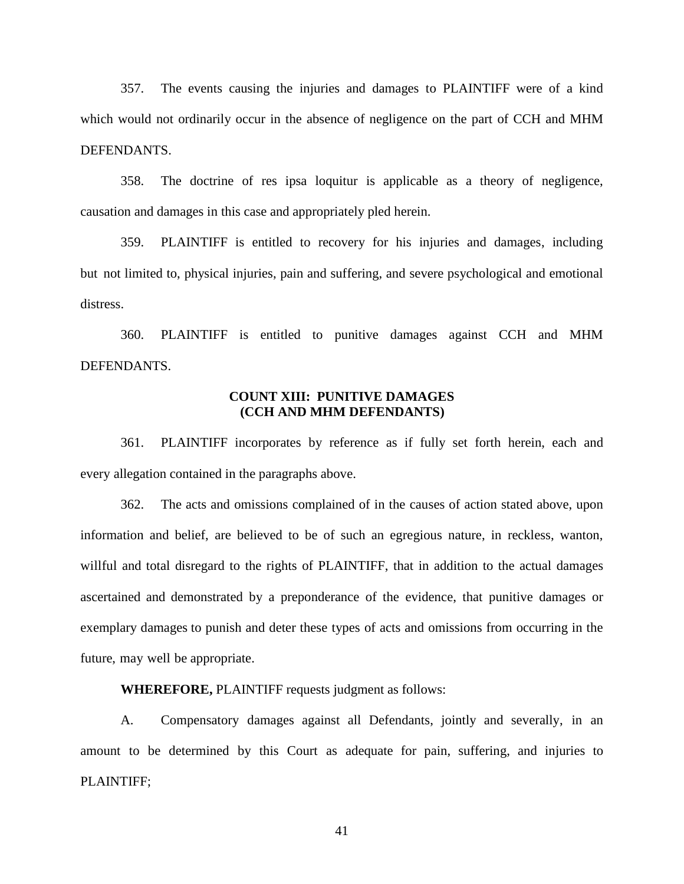357. The events causing the injuries and damages to PLAINTIFF were of a kind which would not ordinarily occur in the absence of negligence on the part of CCH and MHM DEFENDANTS.

358. The doctrine of res ipsa loquitur is applicable as a theory of negligence, causation and damages in this case and appropriately pled herein.

359. PLAINTIFF is entitled to recovery for his injuries and damages, including but not limited to, physical injuries, pain and suffering, and severe psychological and emotional distress.

360. PLAINTIFF is entitled to punitive damages against CCH and MHM DEFENDANTS.

### **COUNT XIII: PUNITIVE DAMAGES (CCH AND MHM DEFENDANTS)**

361. PLAINTIFF incorporates by reference as if fully set forth herein, each and every allegation contained in the paragraphs above.

362. The acts and omissions complained of in the causes of action stated above, upon information and belief, are believed to be of such an egregious nature, in reckless, wanton, willful and total disregard to the rights of PLAINTIFF, that in addition to the actual damages ascertained and demonstrated by a preponderance of the evidence, that punitive damages or exemplary damages to punish and deter these types of acts and omissions from occurring in the future, may well be appropriate.

**WHEREFORE,** PLAINTIFF requests judgment as follows:

A. Compensatory damages against all Defendants, jointly and severally, in an amount to be determined by this Court as adequate for pain, suffering, and injuries to PLAINTIFF;